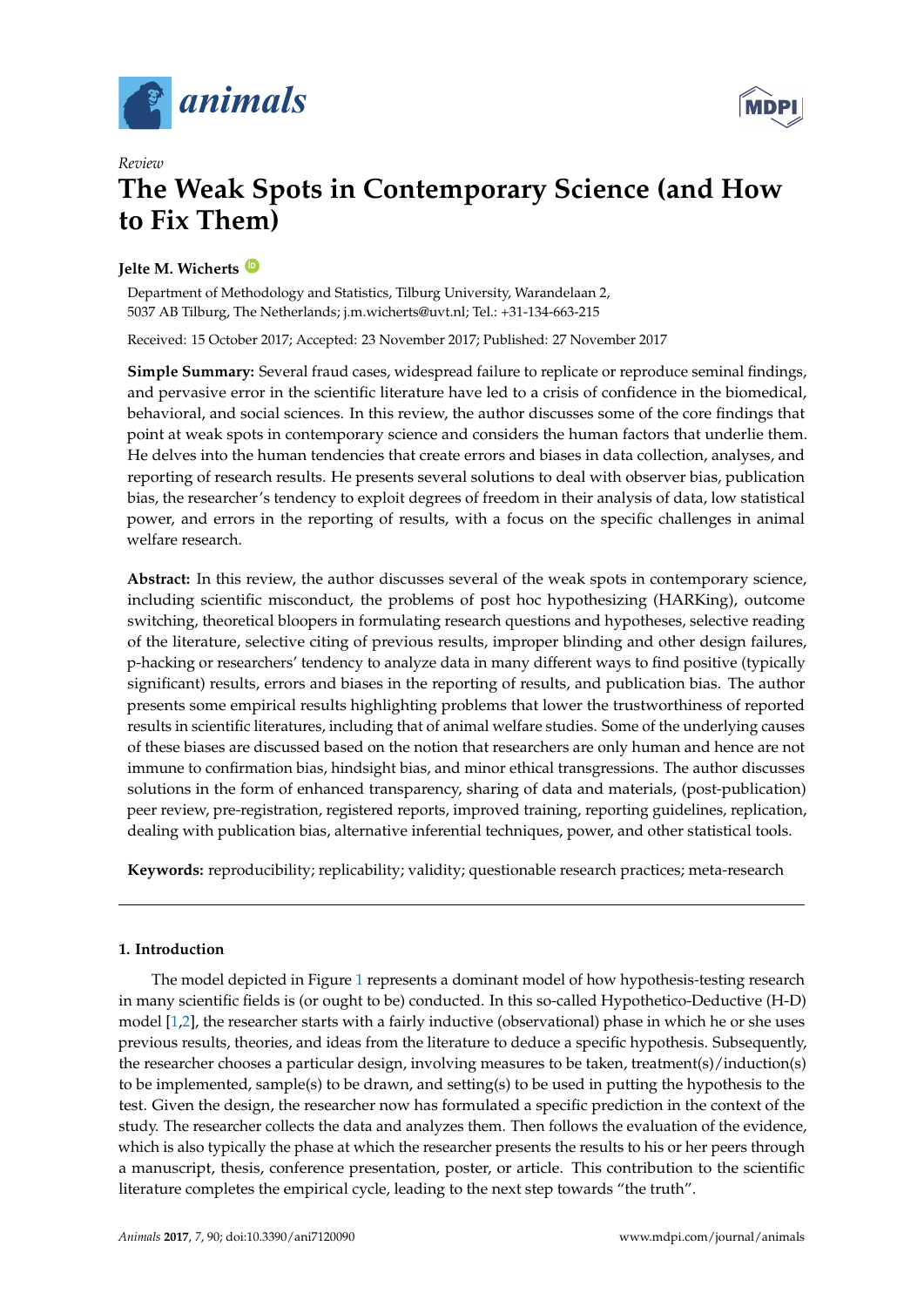



# *Review* **The Weak Spots in Contemporary Science (and How to Fix Them)**

# **Jelte M. Wicherts [ID](https://orcid.org/0000-0003-2415-2933)**

Department of Methodology and Statistics, Tilburg University, Warandelaan 2, 5037 AB Tilburg, The Netherlands; j.m.wicherts@uvt.nl; Tel.: +31-134-663-215

Received: 15 October 2017; Accepted: 23 November 2017; Published: 27 November 2017

**Simple Summary:** Several fraud cases, widespread failure to replicate or reproduce seminal findings, and pervasive error in the scientific literature have led to a crisis of confidence in the biomedical, behavioral, and social sciences. In this review, the author discusses some of the core findings that point at weak spots in contemporary science and considers the human factors that underlie them. He delves into the human tendencies that create errors and biases in data collection, analyses, and reporting of research results. He presents several solutions to deal with observer bias, publication bias, the researcher's tendency to exploit degrees of freedom in their analysis of data, low statistical power, and errors in the reporting of results, with a focus on the specific challenges in animal welfare research.

**Abstract:** In this review, the author discusses several of the weak spots in contemporary science, including scientific misconduct, the problems of post hoc hypothesizing (HARKing), outcome switching, theoretical bloopers in formulating research questions and hypotheses, selective reading of the literature, selective citing of previous results, improper blinding and other design failures, p-hacking or researchers' tendency to analyze data in many different ways to find positive (typically significant) results, errors and biases in the reporting of results, and publication bias. The author presents some empirical results highlighting problems that lower the trustworthiness of reported results in scientific literatures, including that of animal welfare studies. Some of the underlying causes of these biases are discussed based on the notion that researchers are only human and hence are not immune to confirmation bias, hindsight bias, and minor ethical transgressions. The author discusses solutions in the form of enhanced transparency, sharing of data and materials, (post-publication) peer review, pre-registration, registered reports, improved training, reporting guidelines, replication, dealing with publication bias, alternative inferential techniques, power, and other statistical tools.

**Keywords:** reproducibility; replicability; validity; questionable research practices; meta-research

# **1. Introduction**

The model depicted in Figure [1](#page-1-0) represents a dominant model of how hypothesis-testing research in many scientific fields is (or ought to be) conducted. In this so-called Hypothetico-Deductive (H-D) model [\[1,](#page-12-0)[2\]](#page-12-1), the researcher starts with a fairly inductive (observational) phase in which he or she uses previous results, theories, and ideas from the literature to deduce a specific hypothesis. Subsequently, the researcher chooses a particular design, involving measures to be taken, treatment(s)/induction(s) to be implemented, sample(s) to be drawn, and setting(s) to be used in putting the hypothesis to the test. Given the design, the researcher now has formulated a specific prediction in the context of the study. The researcher collects the data and analyzes them. Then follows the evaluation of the evidence, which is also typically the phase at which the researcher presents the results to his or her peers through a manuscript, thesis, conference presentation, poster, or article. This contribution to the scientific literature completes the empirical cycle, leading to the next step towards "the truth".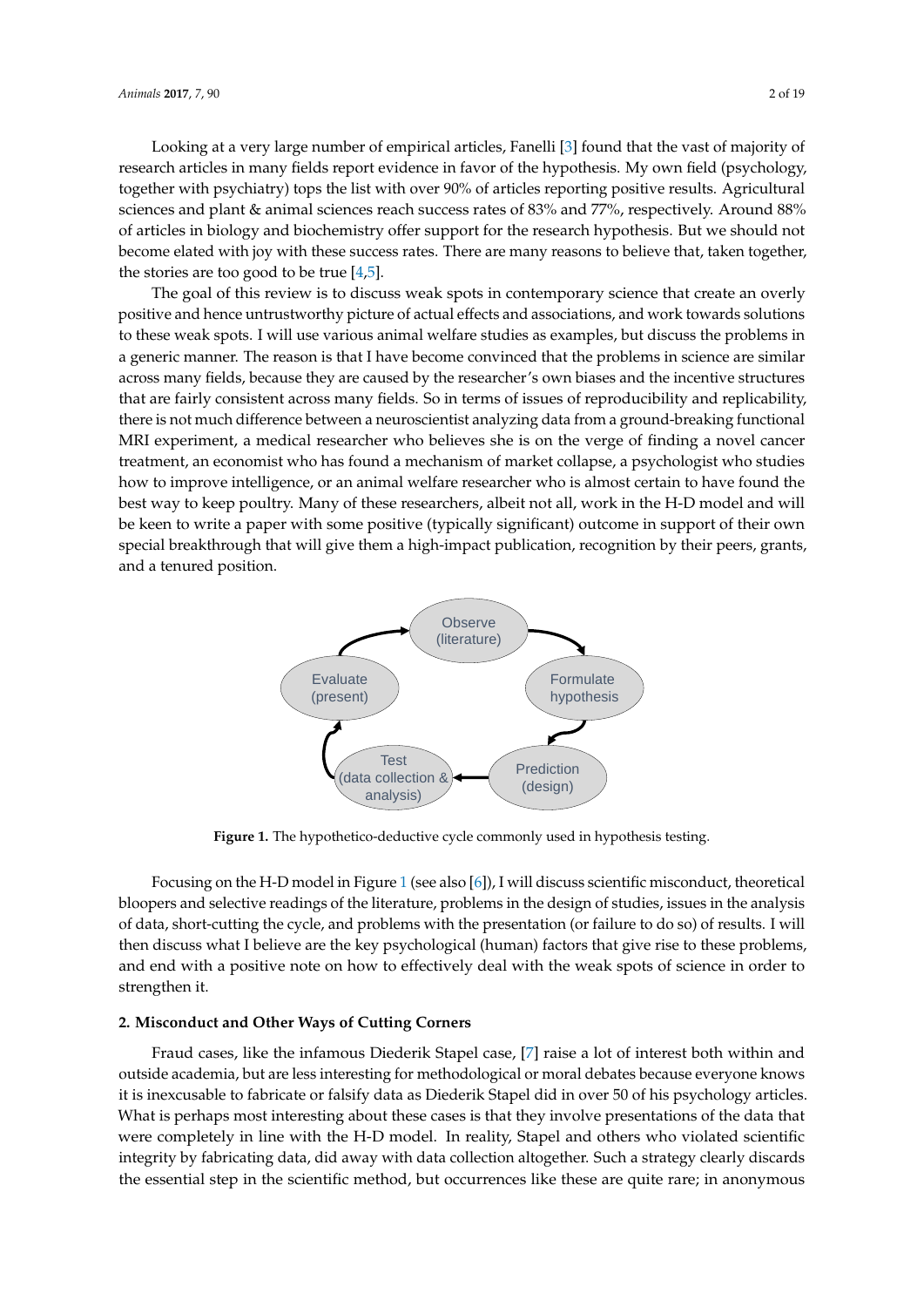Looking at a very large number of empirical articles, Fanelli [\[3\]](#page-12-2) found that the vast of majority of Looking at a very large number of empirical articles, Fanelli [3] found that the vast of majority research articles in many fields report evidence in favor of the hypothesis. My own field (psychology, together with psychiatry) tops the list with over 90% of articles reporting positive results. Agricultural sciences and plant  $\&$  animal sciences reach success rates of 83% and 77%, respectively. Around 88% of articles in biology and biochemistry offer support for the research hypothesis. But we should not become elated with joy with these success rates. There are many reasons to believe that, taken together, the stories are too good to be true  $[4,5]$  $[4,5]$ .

The goal of this review is to discuss weak spots in contemporary science that create an overly The goal of this review is to discuss weak spots in contemporary science that create an overly positive and hence untrustworthy picture of actual effects and associations, and work towards solutions positive and hence untrustworthy picture of actual effects and associations, and work towards to these weak spots. I will use various animal welfare studies as examples, but discuss the problems in a generic manner. The reason is that I have become convinced that the problems in science are similar across many fields, because they are caused by the researcher's own biases and the incentive structures that are fairly consistent across many fields. So in terms of issues of reproducibility and replicability, reproduced a much difference between a neuroscientist analyzing data from a ground-breaking functional MRI experiment, a medical researcher who believes she is on the verge of finding a novel cancer treatment, an economist who has found a mechanism of market collapse, a psychologist who studies how to improve intelligence, or an animal welfare researcher who is almost certain to have found the best way to keep poultry. Many of these researchers, albeit not all, work in the H-D model and will be keen to write a paper with some positive (typically significant) outcome in support of their own special breakthrough that will give them a high-impact publication, recognition by their peers, grants, and a tenured position. publication, recognition by their peers, grants, and a tenured position.



**Figure 1.** The hypothetico-deductive cycle commonly used in hypothesis testing.

bloopers and selective readings of the literature, problems in the design of studies, issues in the analysis of data, short-cutting the cycle, and problems with the presentation (or failure to do so) of results. I will then discuss what I believe are the key psychological (human) factors that give rise to these problems, and end with a positive note on how to effectively deal with the weak spots of science in order to  $\frac{1}{2}$  strengthen it of science in order to strengthen it. Focusing on the H-D model in Figure [1](#page-1-0) (see also [\[6\]](#page-13-2)), I will discuss scientific misconduct, theoretical strengthen it.

#### **2. Misconduct and Other Ways of Cutting Corners**

<span id="page-1-0"></span>Fraud cases, like the infamous Diederik Stapel case, [\[7\]](#page-13-3) raise a lot of interest both within and outside academia, but are less interesting for methodological or moral debates because everyone knows it is inexcusable to fabricate or falsify data as Diederik Stapel did in over 50 of his psychology articles. What is perhaps most interesting about these cases is that they involve presentations of the data that were completely in line with the H-D model. In reality, Stapel and others who violated scientific integrity by fabricating data, did away with data collection altogether. Such a strategy clearly discards state of the property of the History of the Section and Minister (present)<br>
(data collection analysis)<br>
Figure 1. The hypothecic deductive cycle commonly used in hypothesis testing.<br>
Focusing on the H-D model in Figure 1 ( the essential step in the scientific method, but occurrences like these are quite rare; in anonymous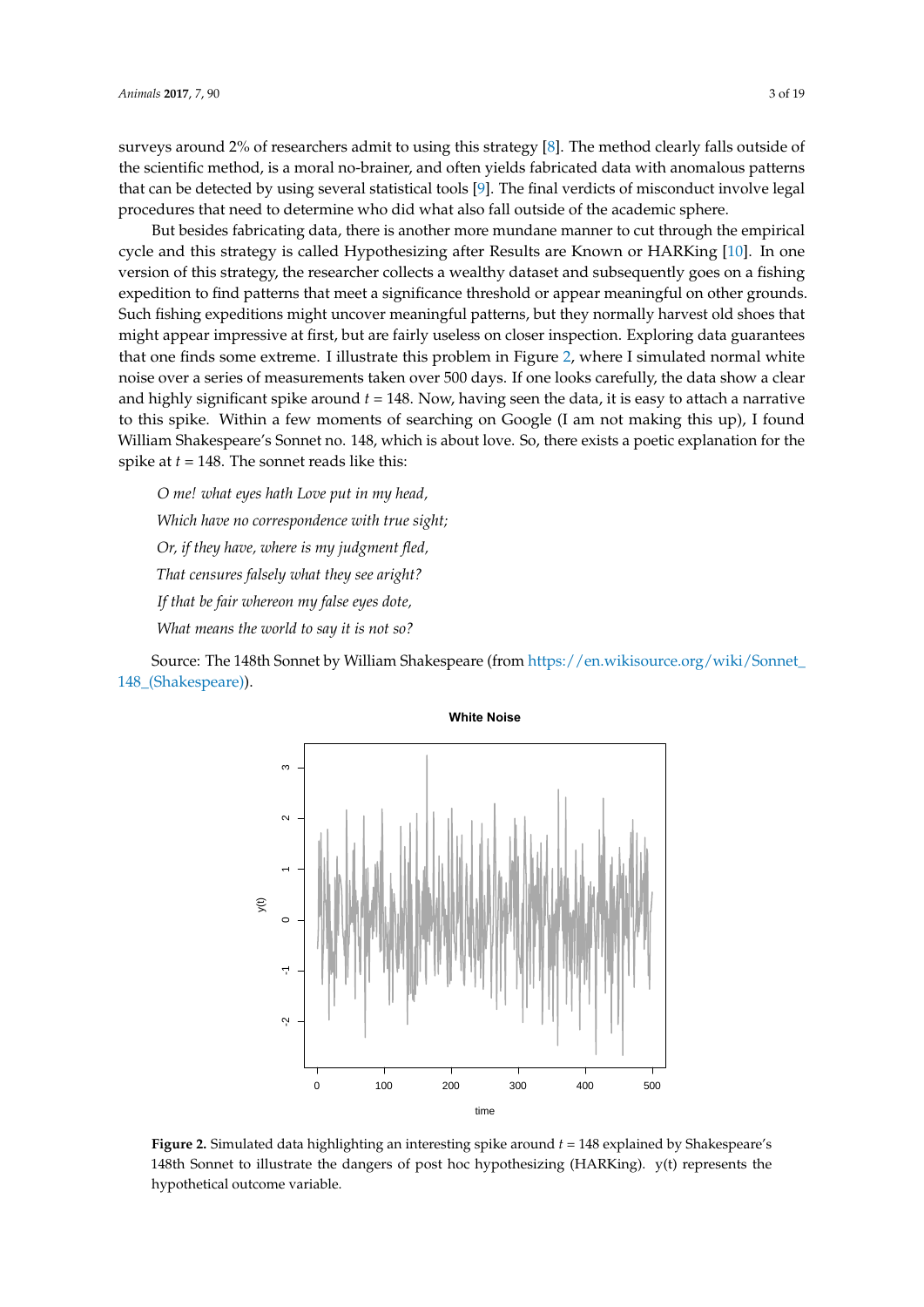surveys around 2% of researchers admit to using this strategy [\[8\]](#page-13-4). The method clearly falls outside of the scientific method, is a moral no-brainer, and often yields fabricated data with anomalous patterns the scientific method, is a moral no-brainer, and often yields fabricated data with anomalous patterns<br>that can be detected by using [se](#page-13-5)veral statistical tools [9]. The final verdicts of misconduct involve legal procedures that need to determine who did what also fall outside of the academic sphere.

But besides fabricating data, there is another more mundane manner to cut through the empirical cycle and this strategy is called Hypothesizing after Results are Known or HARKing [10]. In one version of this strategy, the researcher collects a wealthy dataset and subsequently goes on a fishing expedition to find patterns that meet a significance threshold or appear meaningful on other grounds. Such fishing expeditions might uncover meaningful patterns, but they normally harvest old shoes that might appear impressive at first, but are fairly useless on closer inspection. Exploring data guarantees that [on](#page-2-0)e finds some extreme. I illustrate this problem in Figure 2, where I simulated normal white noise over a series of measurements taken over 500 days. If one looks carefully, the data show a clear and highly significant spike around  $t = 148$ . Now, having seen the data, it is easy to attach a narrative to this spike. Within a few moments of searching on Google (I am not making this up), I found William Shakespeare's Sonnet no. 148, which is about love. So, there exists a poetic explanation for the spike at  $t = 148$ . The sonnet reads like this:

*O me! what eyes hath Love put in my head, Which have no correspondence with true sight; Or, if they have, where is my judgment fled, Or, if they have, where is my judgment fled, That censures falsely what they see aright? That censures falsely what they see aright? If that be fair whereon my false eyes dote, If that be fair whereon my false eyes dote, What means the world to say it is not so? What means the world to say it is not so?* explanation for the spike at *t* = 148. The sonnet reads like this: *Which have no correspondence with true sight;*

<span id="page-2-0"></span>Source: The 148th Sonnet by William Shakespeare (from [https://en.wikisource.org/wiki/Sonnet\\_](https://en.wikisource.org/wiki/Sonnet_148_(Shakespeare)) [148\\_\(Shakespeare\)\)](https://en.wikisource.org/wiki/Sonnet_148_(Shakespeare)). Source: The 148th Sonnet by William Shakespeare (from https://en.wikisource.org/wiki/  $S$ ource. The 148 $(1)$ 50 $(1)$ 



**Figure 2.** Simulated data highlighting an interesting spike around  $t$  = 148 explained by Shakespeare's 148th Sonnet to illustrate the dangers of post hoc hypothesizing (HARKing). y(t) represents the 148th Sonnet to illustrate the dangers of post hoc hypothesizing (HARKing). y(t) represents the hypothetical outcome variable. hypothetical outcome variable.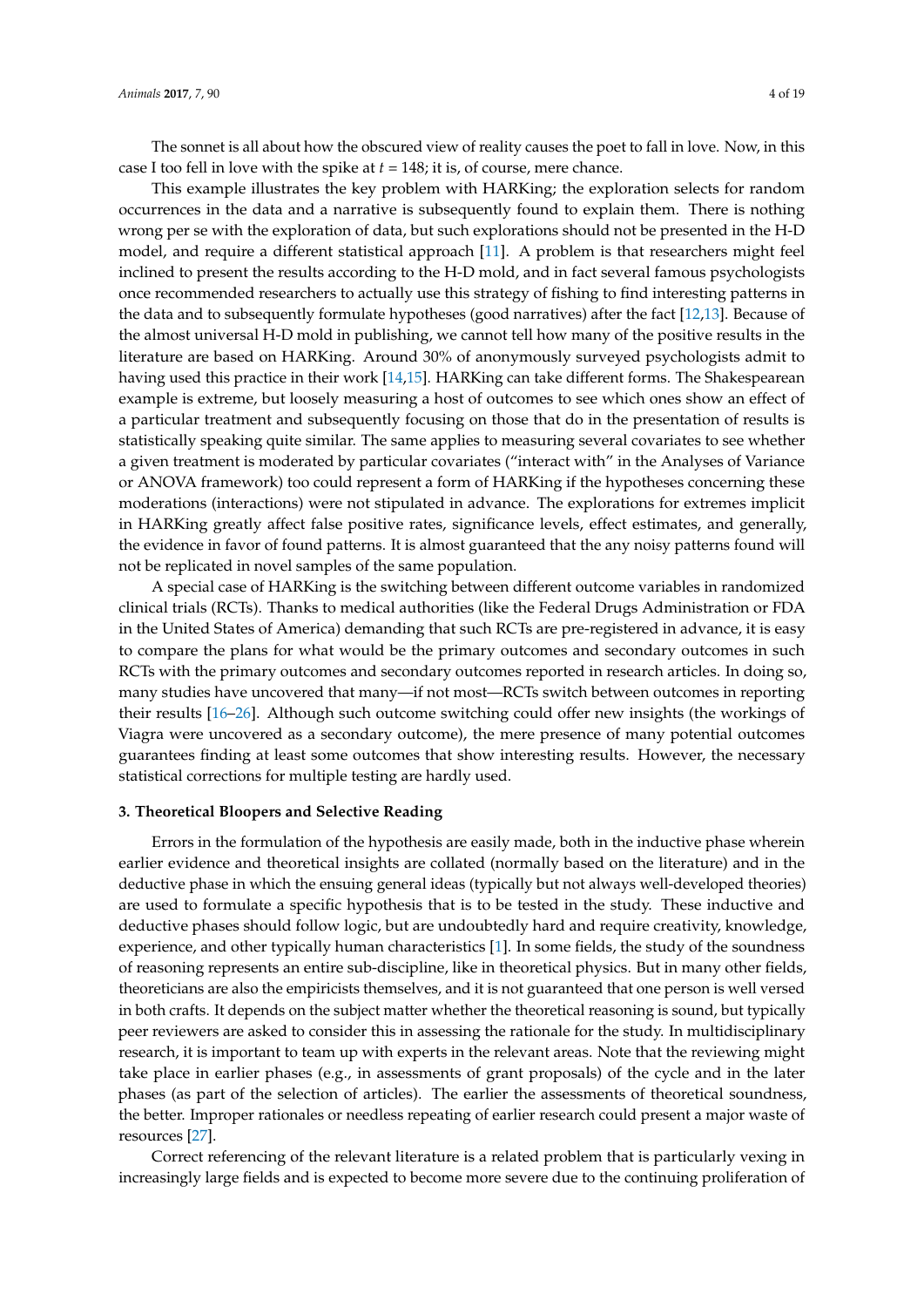The sonnet is all about how the obscured view of reality causes the poet to fall in love. Now, in this case I too fell in love with the spike at *t* = 148; it is, of course, mere chance.

This example illustrates the key problem with HARKing; the exploration selects for random occurrences in the data and a narrative is subsequently found to explain them. There is nothing wrong per se with the exploration of data, but such explorations should not be presented in the H-D model, and require a different statistical approach [\[11\]](#page-13-7). A problem is that researchers might feel inclined to present the results according to the H-D mold, and in fact several famous psychologists once recommended researchers to actually use this strategy of fishing to find interesting patterns in the data and to subsequently formulate hypotheses (good narratives) after the fact [\[12,](#page-13-8)[13\]](#page-13-9). Because of the almost universal H-D mold in publishing, we cannot tell how many of the positive results in the literature are based on HARKing. Around 30% of anonymously surveyed psychologists admit to having used this practice in their work [\[14,](#page-13-10)[15\]](#page-13-11). HARKing can take different forms. The Shakespearean example is extreme, but loosely measuring a host of outcomes to see which ones show an effect of a particular treatment and subsequently focusing on those that do in the presentation of results is statistically speaking quite similar. The same applies to measuring several covariates to see whether a given treatment is moderated by particular covariates ("interact with" in the Analyses of Variance or ANOVA framework) too could represent a form of HARKing if the hypotheses concerning these moderations (interactions) were not stipulated in advance. The explorations for extremes implicit in HARKing greatly affect false positive rates, significance levels, effect estimates, and generally, the evidence in favor of found patterns. It is almost guaranteed that the any noisy patterns found will not be replicated in novel samples of the same population.

A special case of HARKing is the switching between different outcome variables in randomized clinical trials (RCTs). Thanks to medical authorities (like the Federal Drugs Administration or FDA in the United States of America) demanding that such RCTs are pre-registered in advance, it is easy to compare the plans for what would be the primary outcomes and secondary outcomes in such RCTs with the primary outcomes and secondary outcomes reported in research articles. In doing so, many studies have uncovered that many—if not most—RCTs switch between outcomes in reporting their results [\[16–](#page-13-12)[26\]](#page-13-13). Although such outcome switching could offer new insights (the workings of Viagra were uncovered as a secondary outcome), the mere presence of many potential outcomes guarantees finding at least some outcomes that show interesting results. However, the necessary statistical corrections for multiple testing are hardly used.

#### **3. Theoretical Bloopers and Selective Reading**

Errors in the formulation of the hypothesis are easily made, both in the inductive phase wherein earlier evidence and theoretical insights are collated (normally based on the literature) and in the deductive phase in which the ensuing general ideas (typically but not always well-developed theories) are used to formulate a specific hypothesis that is to be tested in the study. These inductive and deductive phases should follow logic, but are undoubtedly hard and require creativity, knowledge, experience, and other typically human characteristics [\[1\]](#page-12-0). In some fields, the study of the soundness of reasoning represents an entire sub-discipline, like in theoretical physics. But in many other fields, theoreticians are also the empiricists themselves, and it is not guaranteed that one person is well versed in both crafts. It depends on the subject matter whether the theoretical reasoning is sound, but typically peer reviewers are asked to consider this in assessing the rationale for the study. In multidisciplinary research, it is important to team up with experts in the relevant areas. Note that the reviewing might take place in earlier phases (e.g., in assessments of grant proposals) of the cycle and in the later phases (as part of the selection of articles). The earlier the assessments of theoretical soundness, the better. Improper rationales or needless repeating of earlier research could present a major waste of resources [\[27\]](#page-14-0).

Correct referencing of the relevant literature is a related problem that is particularly vexing in increasingly large fields and is expected to become more severe due to the continuing proliferation of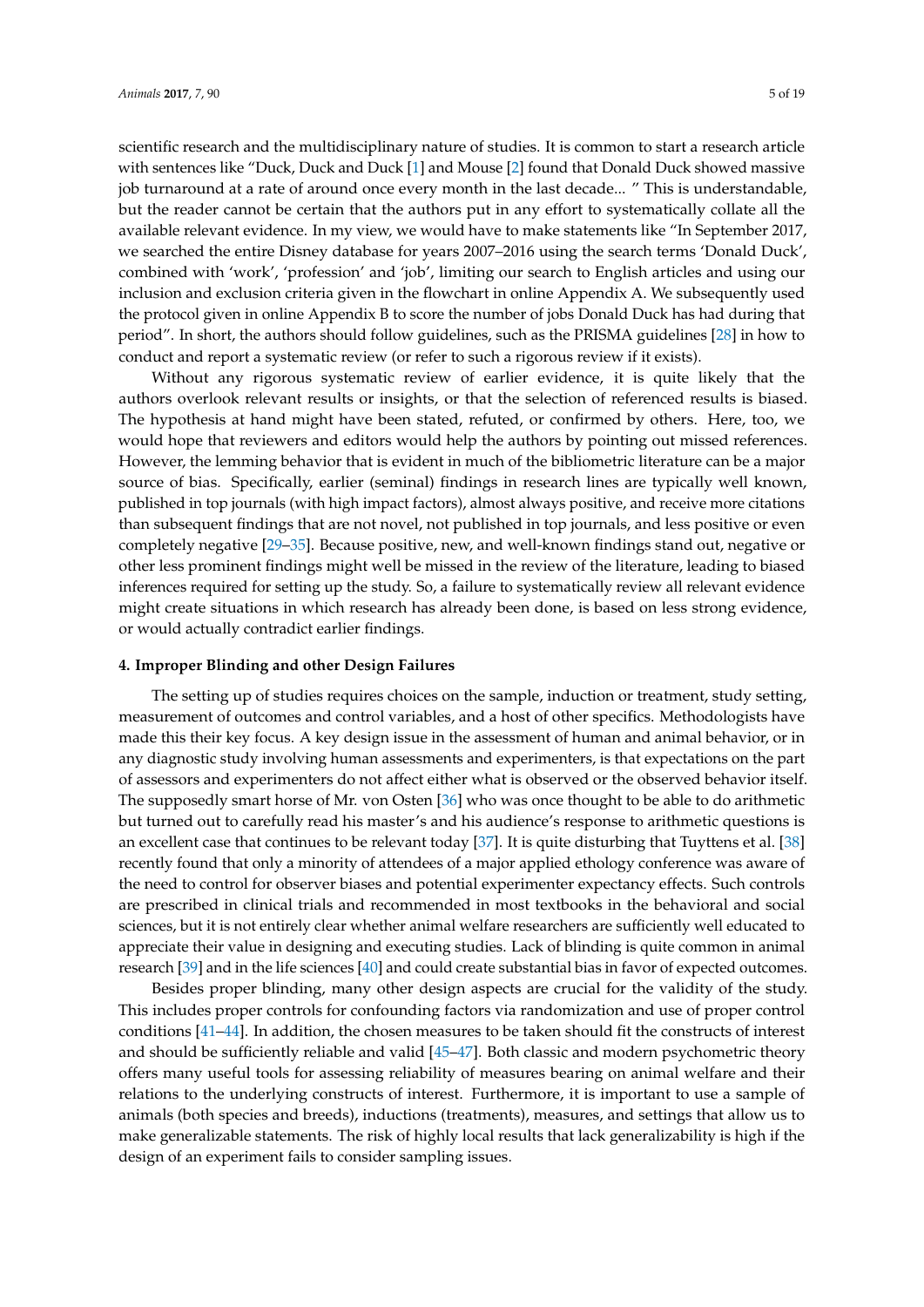scientific research and the multidisciplinary nature of studies. It is common to start a research article with sentences like "Duck, Duck and Duck [\[1\]](#page-12-0) and Mouse [\[2\]](#page-12-1) found that Donald Duck showed massive job turnaround at a rate of around once every month in the last decade... " This is understandable, but the reader cannot be certain that the authors put in any effort to systematically collate all the available relevant evidence. In my view, we would have to make statements like "In September 2017, we searched the entire Disney database for years 2007–2016 using the search terms 'Donald Duck', combined with 'work', 'profession' and 'job', limiting our search to English articles and using our inclusion and exclusion criteria given in the flowchart in online Appendix A. We subsequently used the protocol given in online Appendix B to score the number of jobs Donald Duck has had during that period". In short, the authors should follow guidelines, such as the PRISMA guidelines [\[28\]](#page-14-1) in how to conduct and report a systematic review (or refer to such a rigorous review if it exists).

Without any rigorous systematic review of earlier evidence, it is quite likely that the authors overlook relevant results or insights, or that the selection of referenced results is biased. The hypothesis at hand might have been stated, refuted, or confirmed by others. Here, too, we would hope that reviewers and editors would help the authors by pointing out missed references. However, the lemming behavior that is evident in much of the bibliometric literature can be a major source of bias. Specifically, earlier (seminal) findings in research lines are typically well known, published in top journals (with high impact factors), almost always positive, and receive more citations than subsequent findings that are not novel, not published in top journals, and less positive or even completely negative [\[29–](#page-14-2)[35\]](#page-14-3). Because positive, new, and well-known findings stand out, negative or other less prominent findings might well be missed in the review of the literature, leading to biased inferences required for setting up the study. So, a failure to systematically review all relevant evidence might create situations in which research has already been done, is based on less strong evidence, or would actually contradict earlier findings.

#### **4. Improper Blinding and other Design Failures**

The setting up of studies requires choices on the sample, induction or treatment, study setting, measurement of outcomes and control variables, and a host of other specifics. Methodologists have made this their key focus. A key design issue in the assessment of human and animal behavior, or in any diagnostic study involving human assessments and experimenters, is that expectations on the part of assessors and experimenters do not affect either what is observed or the observed behavior itself. The supposedly smart horse of Mr. von Osten [\[36\]](#page-14-4) who was once thought to be able to do arithmetic but turned out to carefully read his master's and his audience's response to arithmetic questions is an excellent case that continues to be relevant today [\[37\]](#page-14-5). It is quite disturbing that Tuyttens et al. [\[38\]](#page-14-6) recently found that only a minority of attendees of a major applied ethology conference was aware of the need to control for observer biases and potential experimenter expectancy effects. Such controls are prescribed in clinical trials and recommended in most textbooks in the behavioral and social sciences, but it is not entirely clear whether animal welfare researchers are sufficiently well educated to appreciate their value in designing and executing studies. Lack of blinding is quite common in animal research [\[39\]](#page-14-7) and in the life sciences [\[40\]](#page-14-8) and could create substantial bias in favor of expected outcomes.

Besides proper blinding, many other design aspects are crucial for the validity of the study. This includes proper controls for confounding factors via randomization and use of proper control conditions [\[41](#page-14-9)[–44\]](#page-14-10). In addition, the chosen measures to be taken should fit the constructs of interest and should be sufficiently reliable and valid [\[45–](#page-14-11)[47\]](#page-15-0). Both classic and modern psychometric theory offers many useful tools for assessing reliability of measures bearing on animal welfare and their relations to the underlying constructs of interest. Furthermore, it is important to use a sample of animals (both species and breeds), inductions (treatments), measures, and settings that allow us to make generalizable statements. The risk of highly local results that lack generalizability is high if the design of an experiment fails to consider sampling issues.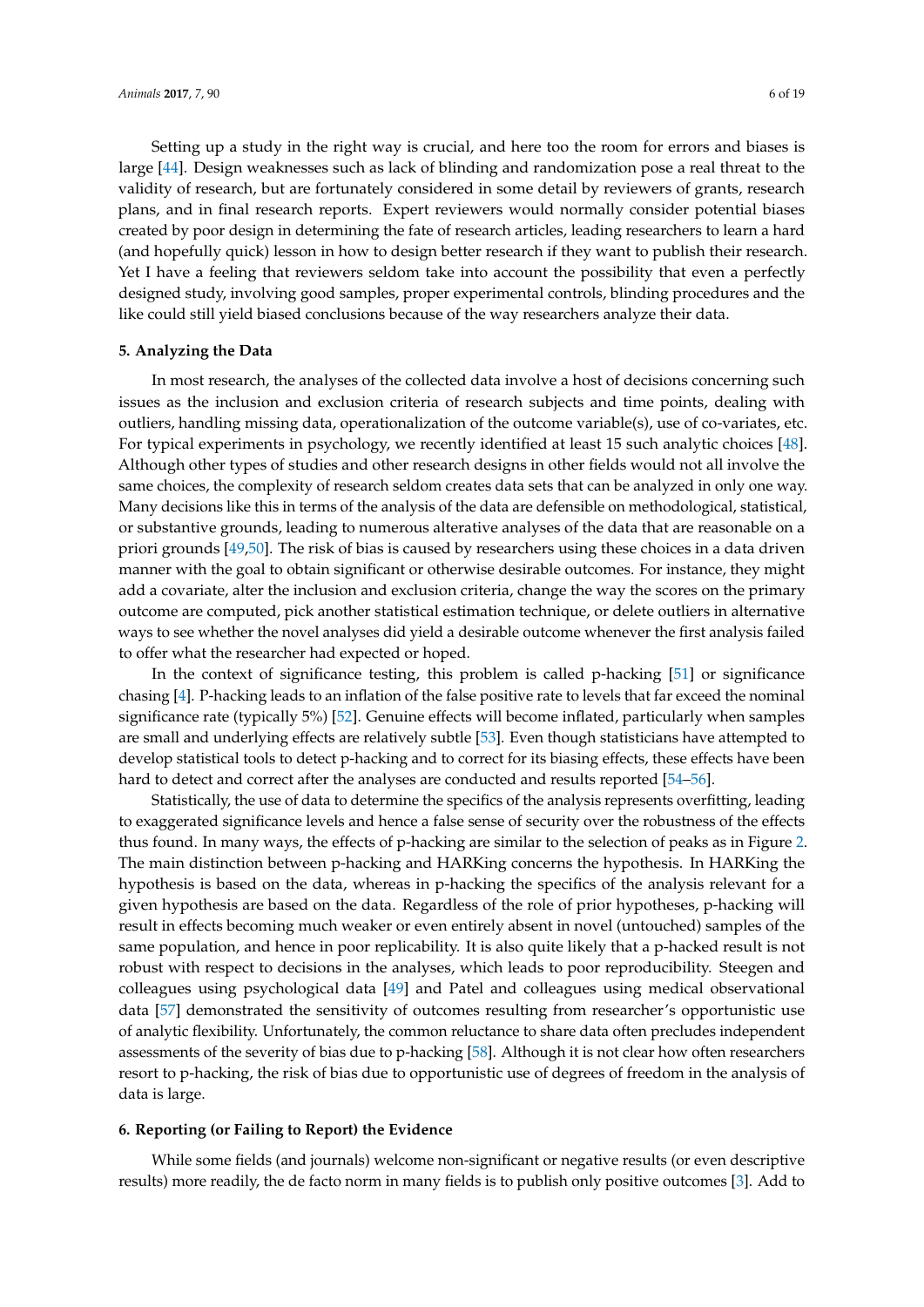Setting up a study in the right way is crucial, and here too the room for errors and biases is large [\[44\]](#page-14-10). Design weaknesses such as lack of blinding and randomization pose a real threat to the validity of research, but are fortunately considered in some detail by reviewers of grants, research plans, and in final research reports. Expert reviewers would normally consider potential biases created by poor design in determining the fate of research articles, leading researchers to learn a hard (and hopefully quick) lesson in how to design better research if they want to publish their research. Yet I have a feeling that reviewers seldom take into account the possibility that even a perfectly designed study, involving good samples, proper experimental controls, blinding procedures and the like could still yield biased conclusions because of the way researchers analyze their data.

# **5. Analyzing the Data**

In most research, the analyses of the collected data involve a host of decisions concerning such issues as the inclusion and exclusion criteria of research subjects and time points, dealing with outliers, handling missing data, operationalization of the outcome variable(s), use of co-variates, etc. For typical experiments in psychology, we recently identified at least 15 such analytic choices [\[48\]](#page-15-1). Although other types of studies and other research designs in other fields would not all involve the same choices, the complexity of research seldom creates data sets that can be analyzed in only one way. Many decisions like this in terms of the analysis of the data are defensible on methodological, statistical, or substantive grounds, leading to numerous alterative analyses of the data that are reasonable on a priori grounds [\[49,](#page-15-2)[50\]](#page-15-3). The risk of bias is caused by researchers using these choices in a data driven manner with the goal to obtain significant or otherwise desirable outcomes. For instance, they might add a covariate, alter the inclusion and exclusion criteria, change the way the scores on the primary outcome are computed, pick another statistical estimation technique, or delete outliers in alternative ways to see whether the novel analyses did yield a desirable outcome whenever the first analysis failed to offer what the researcher had expected or hoped.

In the context of significance testing, this problem is called p-hacking [\[51\]](#page-15-4) or significance chasing [\[4\]](#page-13-0). P-hacking leads to an inflation of the false positive rate to levels that far exceed the nominal significance rate (typically 5%) [\[52\]](#page-15-5). Genuine effects will become inflated, particularly when samples are small and underlying effects are relatively subtle [\[53\]](#page-15-6). Even though statisticians have attempted to develop statistical tools to detect p-hacking and to correct for its biasing effects, these effects have been hard to detect and correct after the analyses are conducted and results reported [\[54](#page-15-7)[–56\]](#page-15-8).

Statistically, the use of data to determine the specifics of the analysis represents overfitting, leading to exaggerated significance levels and hence a false sense of security over the robustness of the effects thus found. In many ways, the effects of p-hacking are similar to the selection of peaks as in Figure [2.](#page-2-0) The main distinction between p-hacking and HARKing concerns the hypothesis. In HARKing the hypothesis is based on the data, whereas in p-hacking the specifics of the analysis relevant for a given hypothesis are based on the data. Regardless of the role of prior hypotheses, p-hacking will result in effects becoming much weaker or even entirely absent in novel (untouched) samples of the same population, and hence in poor replicability. It is also quite likely that a p-hacked result is not robust with respect to decisions in the analyses, which leads to poor reproducibility. Steegen and colleagues using psychological data [\[49\]](#page-15-2) and Patel and colleagues using medical observational data [\[57\]](#page-15-9) demonstrated the sensitivity of outcomes resulting from researcher's opportunistic use of analytic flexibility. Unfortunately, the common reluctance to share data often precludes independent assessments of the severity of bias due to p-hacking [\[58\]](#page-15-10). Although it is not clear how often researchers resort to p-hacking, the risk of bias due to opportunistic use of degrees of freedom in the analysis of data is large.

# **6. Reporting (or Failing to Report) the Evidence**

While some fields (and journals) welcome non-significant or negative results (or even descriptive results) more readily, the de facto norm in many fields is to publish only positive outcomes [\[3\]](#page-12-2). Add to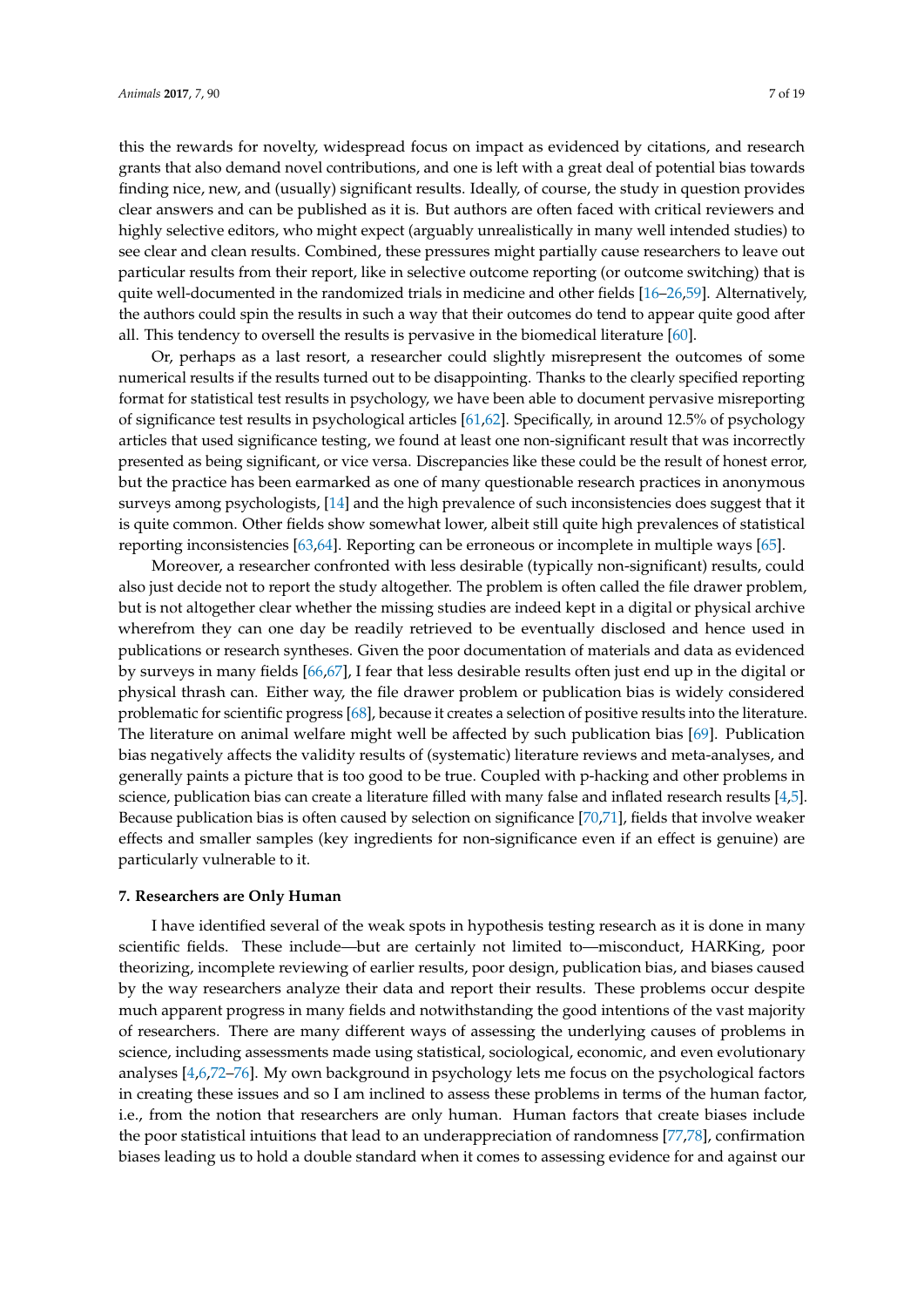this the rewards for novelty, widespread focus on impact as evidenced by citations, and research

grants that also demand novel contributions, and one is left with a great deal of potential bias towards finding nice, new, and (usually) significant results. Ideally, of course, the study in question provides clear answers and can be published as it is. But authors are often faced with critical reviewers and highly selective editors, who might expect (arguably unrealistically in many well intended studies) to see clear and clean results. Combined, these pressures might partially cause researchers to leave out particular results from their report, like in selective outcome reporting (or outcome switching) that is quite well-documented in the randomized trials in medicine and other fields [\[16–](#page-13-12)[26,](#page-13-13)[59\]](#page-15-11). Alternatively, the authors could spin the results in such a way that their outcomes do tend to appear quite good after all. This tendency to oversell the results is pervasive in the biomedical literature [\[60\]](#page-15-12).

Or, perhaps as a last resort, a researcher could slightly misrepresent the outcomes of some numerical results if the results turned out to be disappointing. Thanks to the clearly specified reporting format for statistical test results in psychology, we have been able to document pervasive misreporting of significance test results in psychological articles [\[61,](#page-15-13)[62\]](#page-15-14). Specifically, in around 12.5% of psychology articles that used significance testing, we found at least one non-significant result that was incorrectly presented as being significant, or vice versa. Discrepancies like these could be the result of honest error, but the practice has been earmarked as one of many questionable research practices in anonymous surveys among psychologists, [\[14\]](#page-13-10) and the high prevalence of such inconsistencies does suggest that it is quite common. Other fields show somewhat lower, albeit still quite high prevalences of statistical reporting inconsistencies [\[63,](#page-15-15)[64\]](#page-15-16). Reporting can be erroneous or incomplete in multiple ways [\[65\]](#page-15-17).

Moreover, a researcher confronted with less desirable (typically non-significant) results, could also just decide not to report the study altogether. The problem is often called the file drawer problem, but is not altogether clear whether the missing studies are indeed kept in a digital or physical archive wherefrom they can one day be readily retrieved to be eventually disclosed and hence used in publications or research syntheses. Given the poor documentation of materials and data as evidenced by surveys in many fields [\[66](#page-15-18)[,67\]](#page-15-19), I fear that less desirable results often just end up in the digital or physical thrash can. Either way, the file drawer problem or publication bias is widely considered problematic for scientific progress [\[68\]](#page-16-0), because it creates a selection of positive results into the literature. The literature on animal welfare might well be affected by such publication bias [\[69\]](#page-16-1). Publication bias negatively affects the validity results of (systematic) literature reviews and meta-analyses, and generally paints a picture that is too good to be true. Coupled with p-hacking and other problems in science, publication bias can create a literature filled with many false and inflated research results [\[4](#page-13-0)[,5\]](#page-13-1). Because publication bias is often caused by selection on significance [\[70](#page-16-2)[,71\]](#page-16-3), fields that involve weaker effects and smaller samples (key ingredients for non-significance even if an effect is genuine) are particularly vulnerable to it.

# **7. Researchers are Only Human**

I have identified several of the weak spots in hypothesis testing research as it is done in many scientific fields. These include—but are certainly not limited to—misconduct, HARKing, poor theorizing, incomplete reviewing of earlier results, poor design, publication bias, and biases caused by the way researchers analyze their data and report their results. These problems occur despite much apparent progress in many fields and notwithstanding the good intentions of the vast majority of researchers. There are many different ways of assessing the underlying causes of problems in science, including assessments made using statistical, sociological, economic, and even evolutionary analyses [\[4,](#page-13-0)[6,](#page-13-2)[72–](#page-16-4)[76\]](#page-16-5). My own background in psychology lets me focus on the psychological factors in creating these issues and so I am inclined to assess these problems in terms of the human factor, i.e., from the notion that researchers are only human. Human factors that create biases include the poor statistical intuitions that lead to an underappreciation of randomness [\[77](#page-16-6)[,78\]](#page-16-7), confirmation biases leading us to hold a double standard when it comes to assessing evidence for and against our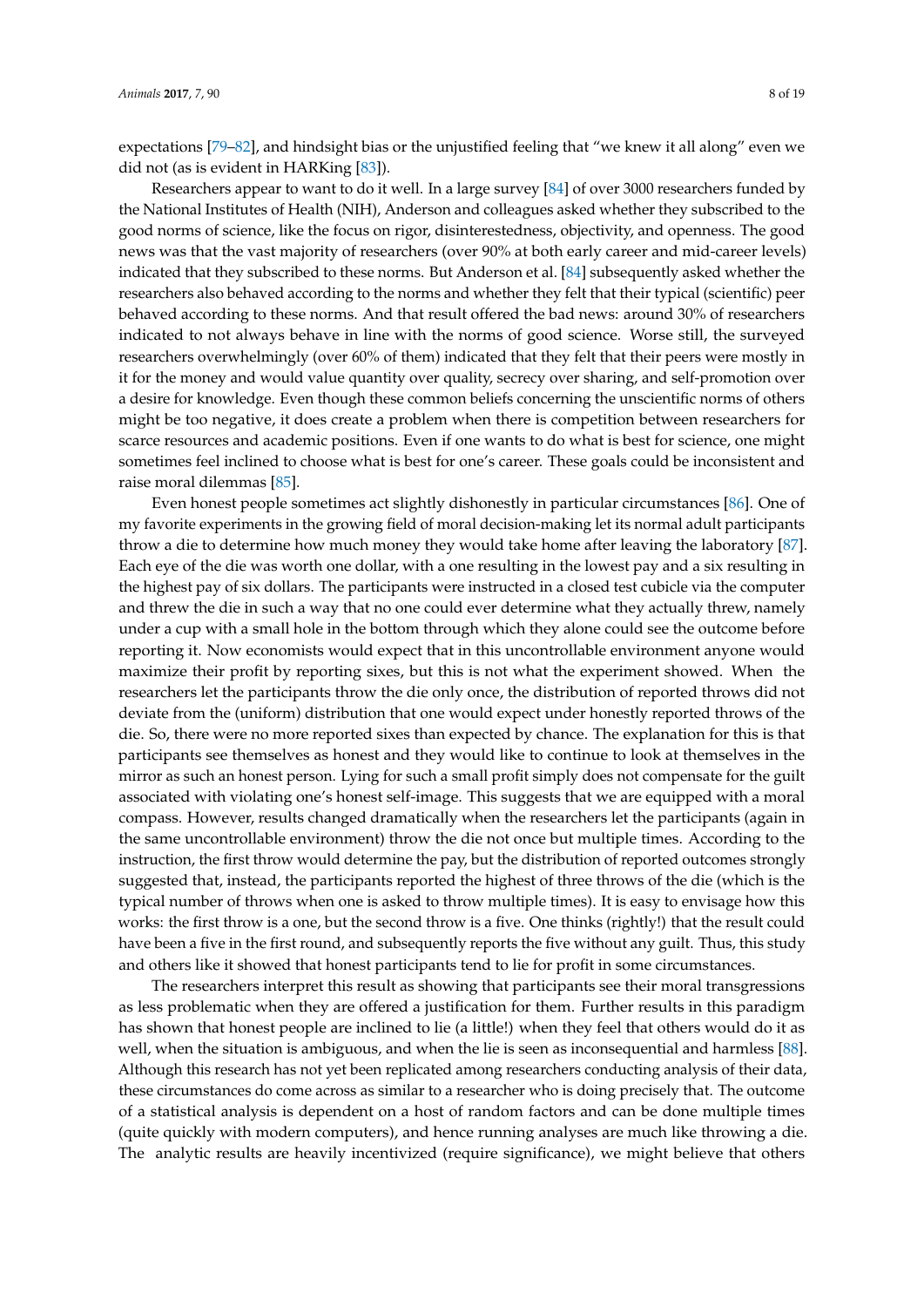expectations [\[79–](#page-16-8)[82\]](#page-16-9), and hindsight bias or the unjustified feeling that "we knew it all along" even we did not (as is evident in HARKing [\[83\]](#page-16-10)).

Researchers appear to want to do it well. In a large survey [\[84\]](#page-16-11) of over 3000 researchers funded by the National Institutes of Health (NIH), Anderson and colleagues asked whether they subscribed to the good norms of science, like the focus on rigor, disinterestedness, objectivity, and openness. The good news was that the vast majority of researchers (over 90% at both early career and mid-career levels) indicated that they subscribed to these norms. But Anderson et al. [\[84\]](#page-16-11) subsequently asked whether the researchers also behaved according to the norms and whether they felt that their typical (scientific) peer behaved according to these norms. And that result offered the bad news: around 30% of researchers indicated to not always behave in line with the norms of good science. Worse still, the surveyed researchers overwhelmingly (over 60% of them) indicated that they felt that their peers were mostly in it for the money and would value quantity over quality, secrecy over sharing, and self-promotion over a desire for knowledge. Even though these common beliefs concerning the unscientific norms of others might be too negative, it does create a problem when there is competition between researchers for scarce resources and academic positions. Even if one wants to do what is best for science, one might sometimes feel inclined to choose what is best for one's career. These goals could be inconsistent and raise moral dilemmas [\[85\]](#page-16-12).

Even honest people sometimes act slightly dishonestly in particular circumstances [\[86\]](#page-16-13). One of my favorite experiments in the growing field of moral decision-making let its normal adult participants throw a die to determine how much money they would take home after leaving the laboratory [\[87\]](#page-16-14). Each eye of the die was worth one dollar, with a one resulting in the lowest pay and a six resulting in the highest pay of six dollars. The participants were instructed in a closed test cubicle via the computer and threw the die in such a way that no one could ever determine what they actually threw, namely under a cup with a small hole in the bottom through which they alone could see the outcome before reporting it. Now economists would expect that in this uncontrollable environment anyone would maximize their profit by reporting sixes, but this is not what the experiment showed. When the researchers let the participants throw the die only once, the distribution of reported throws did not deviate from the (uniform) distribution that one would expect under honestly reported throws of the die. So, there were no more reported sixes than expected by chance. The explanation for this is that participants see themselves as honest and they would like to continue to look at themselves in the mirror as such an honest person. Lying for such a small profit simply does not compensate for the guilt associated with violating one's honest self-image. This suggests that we are equipped with a moral compass. However, results changed dramatically when the researchers let the participants (again in the same uncontrollable environment) throw the die not once but multiple times. According to the instruction, the first throw would determine the pay, but the distribution of reported outcomes strongly suggested that, instead, the participants reported the highest of three throws of the die (which is the typical number of throws when one is asked to throw multiple times). It is easy to envisage how this works: the first throw is a one, but the second throw is a five. One thinks (rightly!) that the result could have been a five in the first round, and subsequently reports the five without any guilt. Thus, this study and others like it showed that honest participants tend to lie for profit in some circumstances.

The researchers interpret this result as showing that participants see their moral transgressions as less problematic when they are offered a justification for them. Further results in this paradigm has shown that honest people are inclined to lie (a little!) when they feel that others would do it as well, when the situation is ambiguous, and when the lie is seen as inconsequential and harmless [\[88\]](#page-16-15). Although this research has not yet been replicated among researchers conducting analysis of their data, these circumstances do come across as similar to a researcher who is doing precisely that. The outcome of a statistical analysis is dependent on a host of random factors and can be done multiple times (quite quickly with modern computers), and hence running analyses are much like throwing a die. The analytic results are heavily incentivized (require significance), we might believe that others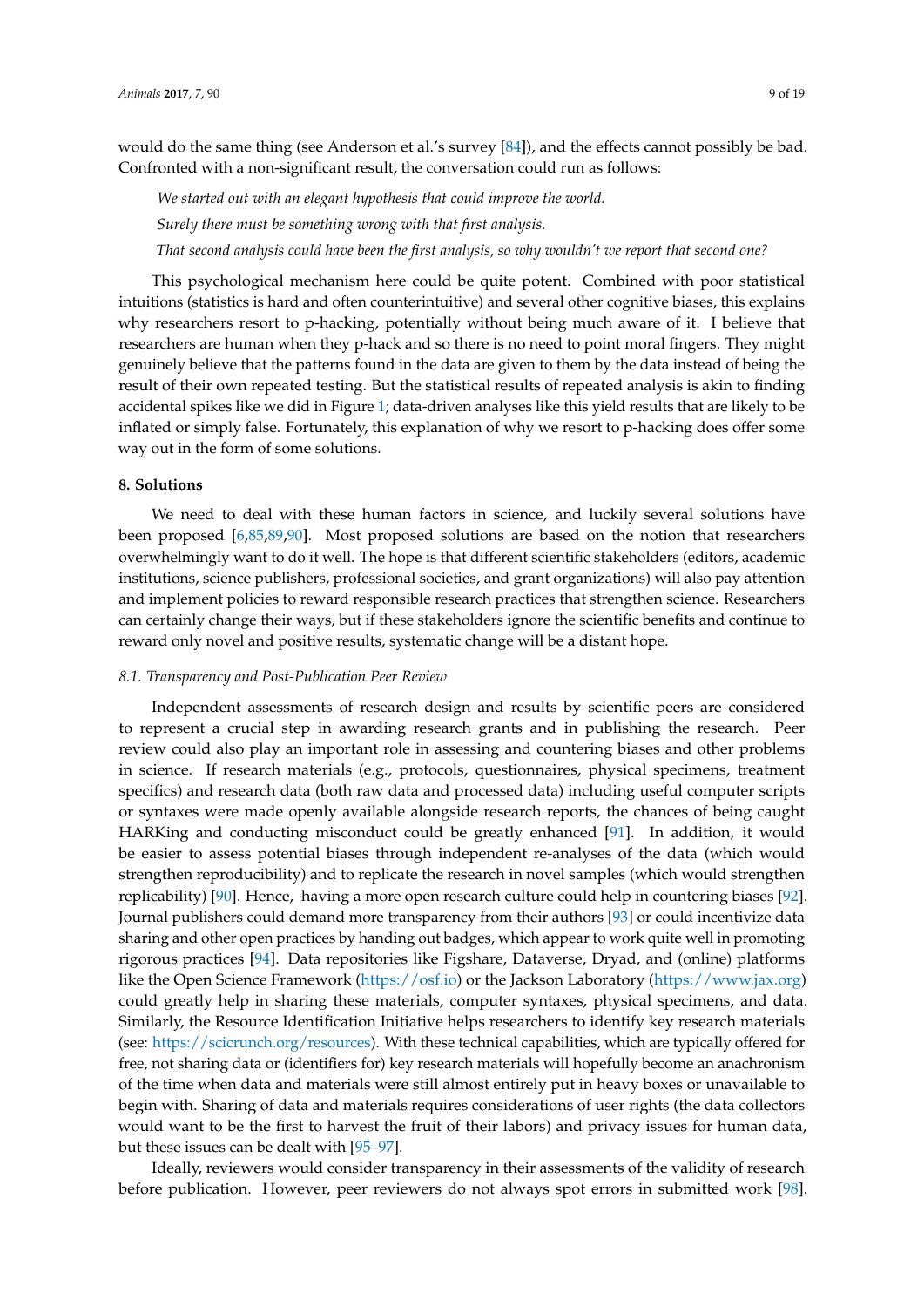would do the same thing (see Anderson et al.'s survey [\[84\]](#page-16-11)), and the effects cannot possibly be bad. Confronted with a non-significant result, the conversation could run as follows:

*We started out with an elegant hypothesis that could improve the world. Surely there must be something wrong with that first analysis. That second analysis could have been the first analysis, so why wouldn't we report that second one?*

This psychological mechanism here could be quite potent. Combined with poor statistical intuitions (statistics is hard and often counterintuitive) and several other cognitive biases, this explains why researchers resort to p-hacking, potentially without being much aware of it. I believe that researchers are human when they p-hack and so there is no need to point moral fingers. They might genuinely believe that the patterns found in the data are given to them by the data instead of being the result of their own repeated testing. But the statistical results of repeated analysis is akin to finding accidental spikes like we did in Figure [1;](#page-1-0) data-driven analyses like this yield results that are likely to be inflated or simply false. Fortunately, this explanation of why we resort to p-hacking does offer some way out in the form of some solutions.

#### **8. Solutions**

We need to deal with these human factors in science, and luckily several solutions have been proposed [\[6,](#page-13-2)[85,](#page-16-12)[89,](#page-16-16)[90\]](#page-16-17). Most proposed solutions are based on the notion that researchers overwhelmingly want to do it well. The hope is that different scientific stakeholders (editors, academic institutions, science publishers, professional societies, and grant organizations) will also pay attention and implement policies to reward responsible research practices that strengthen science. Researchers can certainly change their ways, but if these stakeholders ignore the scientific benefits and continue to reward only novel and positive results, systematic change will be a distant hope.

## *8.1. Transparency and Post-Publication Peer Review*

Independent assessments of research design and results by scientific peers are considered to represent a crucial step in awarding research grants and in publishing the research. Peer review could also play an important role in assessing and countering biases and other problems in science. If research materials (e.g., protocols, questionnaires, physical specimens, treatment specifics) and research data (both raw data and processed data) including useful computer scripts or syntaxes were made openly available alongside research reports, the chances of being caught HARKing and conducting misconduct could be greatly enhanced [\[91\]](#page-16-18). In addition, it would be easier to assess potential biases through independent re-analyses of the data (which would strengthen reproducibility) and to replicate the research in novel samples (which would strengthen replicability) [\[90\]](#page-16-17). Hence, having a more open research culture could help in countering biases [\[92\]](#page-16-19). Journal publishers could demand more transparency from their authors [\[93\]](#page-17-0) or could incentivize data sharing and other open practices by handing out badges, which appear to work quite well in promoting rigorous practices [\[94\]](#page-17-1). Data repositories like Figshare, Dataverse, Dryad, and (online) platforms like the Open Science Framework [\(https://osf.io\)](https://osf.io) or the Jackson Laboratory [\(https://www.jax.org\)](https://www.jax.org) could greatly help in sharing these materials, computer syntaxes, physical specimens, and data. Similarly, the Resource Identification Initiative helps researchers to identify key research materials (see: [https://scicrunch.org/resources\)](https://scicrunch.org/resources). With these technical capabilities, which are typically offered for free, not sharing data or (identifiers for) key research materials will hopefully become an anachronism of the time when data and materials were still almost entirely put in heavy boxes or unavailable to begin with. Sharing of data and materials requires considerations of user rights (the data collectors would want to be the first to harvest the fruit of their labors) and privacy issues for human data, but these issues can be dealt with [\[95–](#page-17-2)[97\]](#page-17-3).

Ideally, reviewers would consider transparency in their assessments of the validity of research before publication. However, peer reviewers do not always spot errors in submitted work [\[98\]](#page-17-4).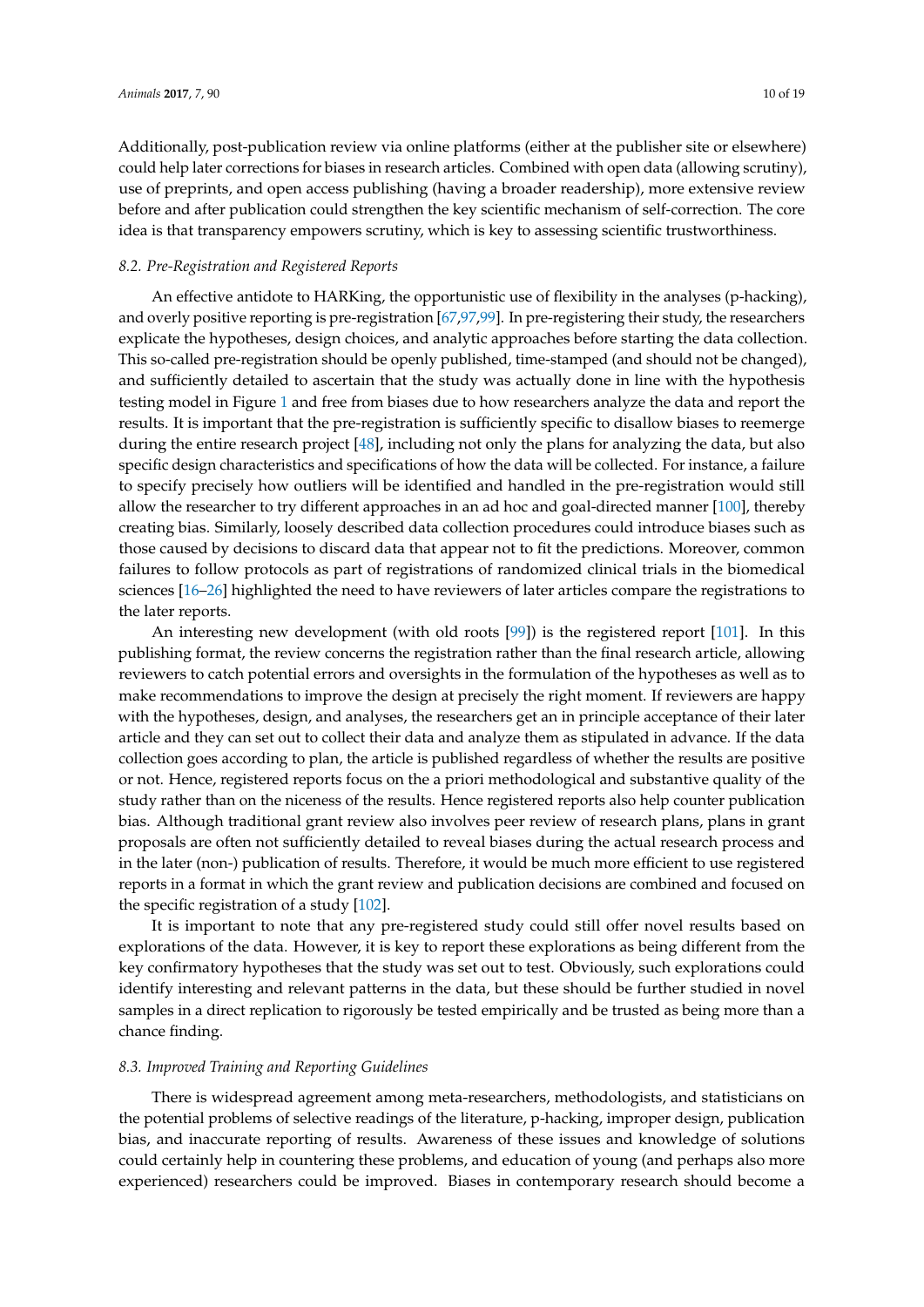Additionally, post-publication review via online platforms (either at the publisher site or elsewhere) could help later corrections for biases in research articles. Combined with open data (allowing scrutiny), use of preprints, and open access publishing (having a broader readership), more extensive review before and after publication could strengthen the key scientific mechanism of self-correction. The core idea is that transparency empowers scrutiny, which is key to assessing scientific trustworthiness.

# *8.2. Pre-Registration and Registered Reports*

An effective antidote to HARKing, the opportunistic use of flexibility in the analyses (p-hacking), and overly positive reporting is pre-registration [\[67,](#page-15-19)[97](#page-17-3)[,99\]](#page-17-5). In pre-registering their study, the researchers explicate the hypotheses, design choices, and analytic approaches before starting the data collection. This so-called pre-registration should be openly published, time-stamped (and should not be changed), and sufficiently detailed to ascertain that the study was actually done in line with the hypothesis testing model in Figure [1](#page-1-0) and free from biases due to how researchers analyze the data and report the results. It is important that the pre-registration is sufficiently specific to disallow biases to reemerge during the entire research project [\[48\]](#page-15-1), including not only the plans for analyzing the data, but also specific design characteristics and specifications of how the data will be collected. For instance, a failure to specify precisely how outliers will be identified and handled in the pre-registration would still allow the researcher to try different approaches in an ad hoc and goal-directed manner [\[100\]](#page-17-6), thereby creating bias. Similarly, loosely described data collection procedures could introduce biases such as those caused by decisions to discard data that appear not to fit the predictions. Moreover, common failures to follow protocols as part of registrations of randomized clinical trials in the biomedical sciences [\[16](#page-13-12)[–26\]](#page-13-13) highlighted the need to have reviewers of later articles compare the registrations to the later reports.

An interesting new development (with old roots [\[99\]](#page-17-5)) is the registered report [\[101\]](#page-17-7). In this publishing format, the review concerns the registration rather than the final research article, allowing reviewers to catch potential errors and oversights in the formulation of the hypotheses as well as to make recommendations to improve the design at precisely the right moment. If reviewers are happy with the hypotheses, design, and analyses, the researchers get an in principle acceptance of their later article and they can set out to collect their data and analyze them as stipulated in advance. If the data collection goes according to plan, the article is published regardless of whether the results are positive or not. Hence, registered reports focus on the a priori methodological and substantive quality of the study rather than on the niceness of the results. Hence registered reports also help counter publication bias. Although traditional grant review also involves peer review of research plans, plans in grant proposals are often not sufficiently detailed to reveal biases during the actual research process and in the later (non-) publication of results. Therefore, it would be much more efficient to use registered reports in a format in which the grant review and publication decisions are combined and focused on the specific registration of a study [\[102\]](#page-17-8).

It is important to note that any pre-registered study could still offer novel results based on explorations of the data. However, it is key to report these explorations as being different from the key confirmatory hypotheses that the study was set out to test. Obviously, such explorations could identify interesting and relevant patterns in the data, but these should be further studied in novel samples in a direct replication to rigorously be tested empirically and be trusted as being more than a chance finding.

# *8.3. Improved Training and Reporting Guidelines*

There is widespread agreement among meta-researchers, methodologists, and statisticians on the potential problems of selective readings of the literature, p-hacking, improper design, publication bias, and inaccurate reporting of results. Awareness of these issues and knowledge of solutions could certainly help in countering these problems, and education of young (and perhaps also more experienced) researchers could be improved. Biases in contemporary research should become a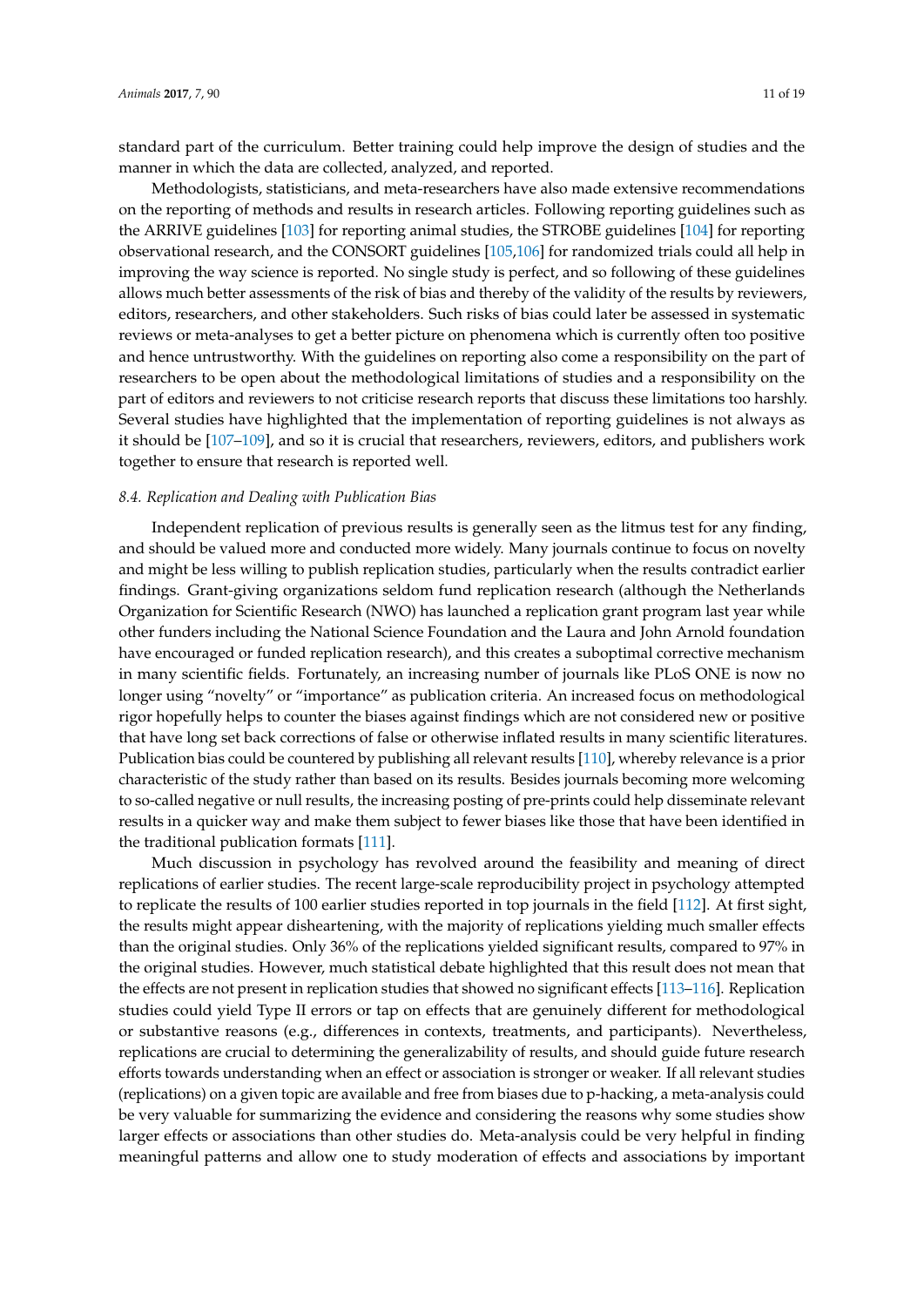standard part of the curriculum. Better training could help improve the design of studies and the manner in which the data are collected, analyzed, and reported.

Methodologists, statisticians, and meta-researchers have also made extensive recommendations on the reporting of methods and results in research articles. Following reporting guidelines such as the ARRIVE guidelines [\[103\]](#page-17-9) for reporting animal studies, the STROBE guidelines [\[104\]](#page-17-10) for reporting observational research, and the CONSORT guidelines [\[105](#page-17-11)[,106\]](#page-17-12) for randomized trials could all help in improving the way science is reported. No single study is perfect, and so following of these guidelines allows much better assessments of the risk of bias and thereby of the validity of the results by reviewers, editors, researchers, and other stakeholders. Such risks of bias could later be assessed in systematic reviews or meta-analyses to get a better picture on phenomena which is currently often too positive and hence untrustworthy. With the guidelines on reporting also come a responsibility on the part of researchers to be open about the methodological limitations of studies and a responsibility on the part of editors and reviewers to not criticise research reports that discuss these limitations too harshly. Several studies have highlighted that the implementation of reporting guidelines is not always as it should be [\[107–](#page-17-13)[109\]](#page-17-14), and so it is crucial that researchers, reviewers, editors, and publishers work together to ensure that research is reported well.

## *8.4. Replication and Dealing with Publication Bias*

Independent replication of previous results is generally seen as the litmus test for any finding, and should be valued more and conducted more widely. Many journals continue to focus on novelty and might be less willing to publish replication studies, particularly when the results contradict earlier findings. Grant-giving organizations seldom fund replication research (although the Netherlands Organization for Scientific Research (NWO) has launched a replication grant program last year while other funders including the National Science Foundation and the Laura and John Arnold foundation have encouraged or funded replication research), and this creates a suboptimal corrective mechanism in many scientific fields. Fortunately, an increasing number of journals like PLoS ONE is now no longer using "novelty" or "importance" as publication criteria. An increased focus on methodological rigor hopefully helps to counter the biases against findings which are not considered new or positive that have long set back corrections of false or otherwise inflated results in many scientific literatures. Publication bias could be countered by publishing all relevant results [\[110\]](#page-17-15), whereby relevance is a prior characteristic of the study rather than based on its results. Besides journals becoming more welcoming to so-called negative or null results, the increasing posting of pre-prints could help disseminate relevant results in a quicker way and make them subject to fewer biases like those that have been identified in the traditional publication formats [\[111\]](#page-17-16).

Much discussion in psychology has revolved around the feasibility and meaning of direct replications of earlier studies. The recent large-scale reproducibility project in psychology attempted to replicate the results of 100 earlier studies reported in top journals in the field [\[112\]](#page-17-17). At first sight, the results might appear disheartening, with the majority of replications yielding much smaller effects than the original studies. Only 36% of the replications yielded significant results, compared to 97% in the original studies. However, much statistical debate highlighted that this result does not mean that the effects are not present in replication studies that showed no significant effects [\[113](#page-18-0)[–116\]](#page-18-1). Replication studies could yield Type II errors or tap on effects that are genuinely different for methodological or substantive reasons (e.g., differences in contexts, treatments, and participants). Nevertheless, replications are crucial to determining the generalizability of results, and should guide future research efforts towards understanding when an effect or association is stronger or weaker. If all relevant studies (replications) on a given topic are available and free from biases due to p-hacking, a meta-analysis could be very valuable for summarizing the evidence and considering the reasons why some studies show larger effects or associations than other studies do. Meta-analysis could be very helpful in finding meaningful patterns and allow one to study moderation of effects and associations by important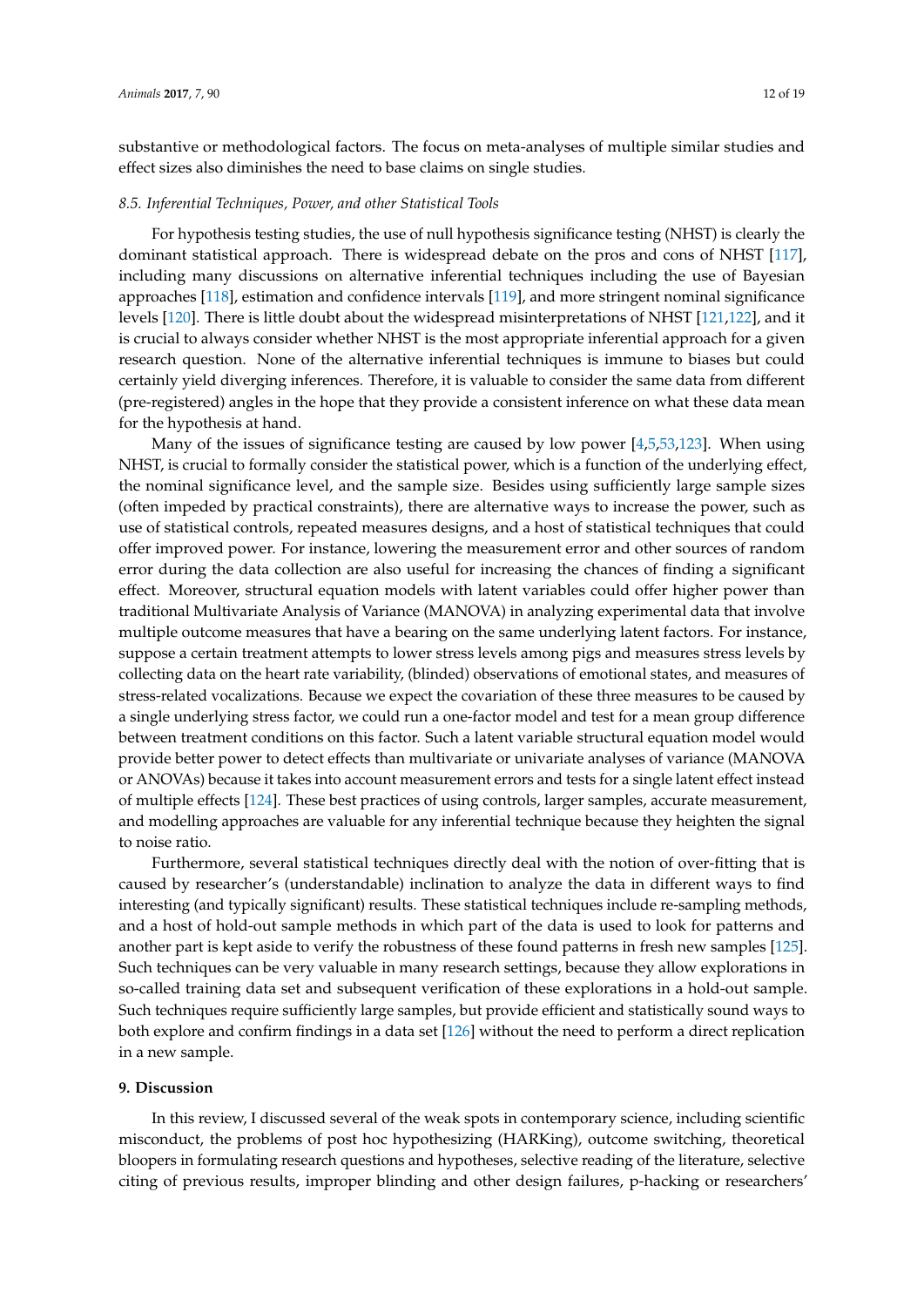substantive or methodological factors. The focus on meta-analyses of multiple similar studies and effect sizes also diminishes the need to base claims on single studies.

#### *8.5. Inferential Techniques, Power, and other Statistical Tools*

For hypothesis testing studies, the use of null hypothesis significance testing (NHST) is clearly the dominant statistical approach. There is widespread debate on the pros and cons of NHST [\[117\]](#page-18-2), including many discussions on alternative inferential techniques including the use of Bayesian approaches [\[118\]](#page-18-3), estimation and confidence intervals [\[119\]](#page-18-4), and more stringent nominal significance levels [\[120\]](#page-18-5). There is little doubt about the widespread misinterpretations of NHST [\[121,](#page-18-6)[122\]](#page-18-7), and it is crucial to always consider whether NHST is the most appropriate inferential approach for a given research question. None of the alternative inferential techniques is immune to biases but could certainly yield diverging inferences. Therefore, it is valuable to consider the same data from different (pre-registered) angles in the hope that they provide a consistent inference on what these data mean for the hypothesis at hand.

Many of the issues of significance testing are caused by low power [\[4,](#page-13-0)[5,](#page-13-1)[53,](#page-15-6)[123\]](#page-18-8). When using NHST, is crucial to formally consider the statistical power, which is a function of the underlying effect, the nominal significance level, and the sample size. Besides using sufficiently large sample sizes (often impeded by practical constraints), there are alternative ways to increase the power, such as use of statistical controls, repeated measures designs, and a host of statistical techniques that could offer improved power. For instance, lowering the measurement error and other sources of random error during the data collection are also useful for increasing the chances of finding a significant effect. Moreover, structural equation models with latent variables could offer higher power than traditional Multivariate Analysis of Variance (MANOVA) in analyzing experimental data that involve multiple outcome measures that have a bearing on the same underlying latent factors. For instance, suppose a certain treatment attempts to lower stress levels among pigs and measures stress levels by collecting data on the heart rate variability, (blinded) observations of emotional states, and measures of stress-related vocalizations. Because we expect the covariation of these three measures to be caused by a single underlying stress factor, we could run a one-factor model and test for a mean group difference between treatment conditions on this factor. Such a latent variable structural equation model would provide better power to detect effects than multivariate or univariate analyses of variance (MANOVA or ANOVAs) because it takes into account measurement errors and tests for a single latent effect instead of multiple effects [\[124\]](#page-18-9). These best practices of using controls, larger samples, accurate measurement, and modelling approaches are valuable for any inferential technique because they heighten the signal to noise ratio.

Furthermore, several statistical techniques directly deal with the notion of over-fitting that is caused by researcher's (understandable) inclination to analyze the data in different ways to find interesting (and typically significant) results. These statistical techniques include re-sampling methods, and a host of hold-out sample methods in which part of the data is used to look for patterns and another part is kept aside to verify the robustness of these found patterns in fresh new samples [\[125\]](#page-18-10). Such techniques can be very valuable in many research settings, because they allow explorations in so-called training data set and subsequent verification of these explorations in a hold-out sample. Such techniques require sufficiently large samples, but provide efficient and statistically sound ways to both explore and confirm findings in a data set [\[126\]](#page-18-11) without the need to perform a direct replication in a new sample.

#### **9. Discussion**

In this review, I discussed several of the weak spots in contemporary science, including scientific misconduct, the problems of post hoc hypothesizing (HARKing), outcome switching, theoretical bloopers in formulating research questions and hypotheses, selective reading of the literature, selective citing of previous results, improper blinding and other design failures, p-hacking or researchers'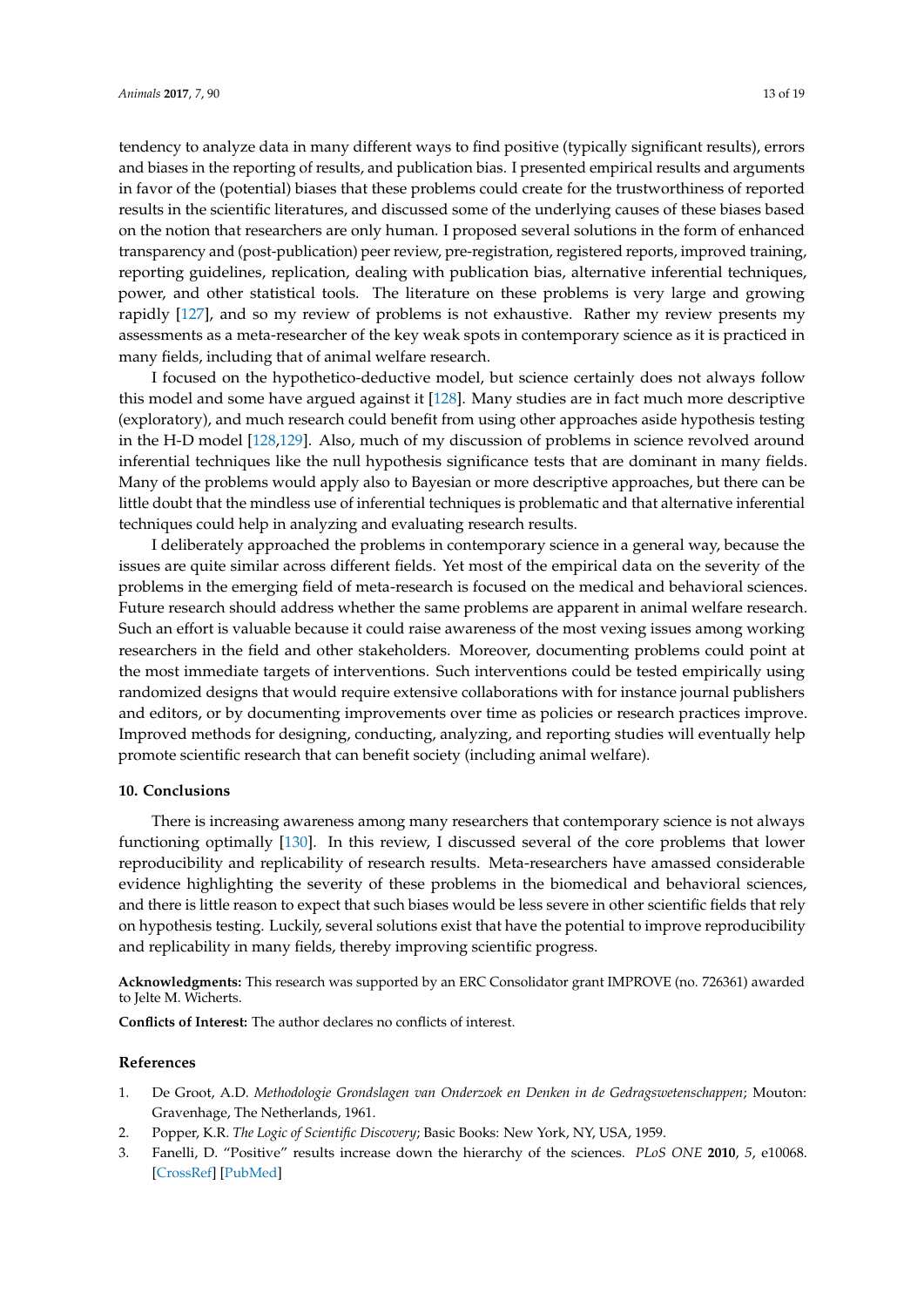tendency to analyze data in many different ways to find positive (typically significant results), errors and biases in the reporting of results, and publication bias. I presented empirical results and arguments in favor of the (potential) biases that these problems could create for the trustworthiness of reported results in the scientific literatures, and discussed some of the underlying causes of these biases based on the notion that researchers are only human. I proposed several solutions in the form of enhanced transparency and (post-publication) peer review, pre-registration, registered reports, improved training, reporting guidelines, replication, dealing with publication bias, alternative inferential techniques, power, and other statistical tools. The literature on these problems is very large and growing rapidly [\[127\]](#page-18-12), and so my review of problems is not exhaustive. Rather my review presents my assessments as a meta-researcher of the key weak spots in contemporary science as it is practiced in many fields, including that of animal welfare research.

I focused on the hypothetico-deductive model, but science certainly does not always follow this model and some have argued against it [\[128\]](#page-18-13). Many studies are in fact much more descriptive (exploratory), and much research could benefit from using other approaches aside hypothesis testing in the H-D model [\[128](#page-18-13)[,129\]](#page-18-14). Also, much of my discussion of problems in science revolved around inferential techniques like the null hypothesis significance tests that are dominant in many fields. Many of the problems would apply also to Bayesian or more descriptive approaches, but there can be little doubt that the mindless use of inferential techniques is problematic and that alternative inferential techniques could help in analyzing and evaluating research results.

I deliberately approached the problems in contemporary science in a general way, because the issues are quite similar across different fields. Yet most of the empirical data on the severity of the problems in the emerging field of meta-research is focused on the medical and behavioral sciences. Future research should address whether the same problems are apparent in animal welfare research. Such an effort is valuable because it could raise awareness of the most vexing issues among working researchers in the field and other stakeholders. Moreover, documenting problems could point at the most immediate targets of interventions. Such interventions could be tested empirically using randomized designs that would require extensive collaborations with for instance journal publishers and editors, or by documenting improvements over time as policies or research practices improve. Improved methods for designing, conducting, analyzing, and reporting studies will eventually help promote scientific research that can benefit society (including animal welfare).

#### **10. Conclusions**

There is increasing awareness among many researchers that contemporary science is not always functioning optimally [\[130\]](#page-18-15). In this review, I discussed several of the core problems that lower reproducibility and replicability of research results. Meta-researchers have amassed considerable evidence highlighting the severity of these problems in the biomedical and behavioral sciences, and there is little reason to expect that such biases would be less severe in other scientific fields that rely on hypothesis testing. Luckily, several solutions exist that have the potential to improve reproducibility and replicability in many fields, thereby improving scientific progress.

**Acknowledgments:** This research was supported by an ERC Consolidator grant IMPROVE (no. 726361) awarded to Jelte M. Wicherts.

**Conflicts of Interest:** The author declares no conflicts of interest.

#### **References**

- <span id="page-12-0"></span>1. De Groot, A.D. *Methodologie Grondslagen van Onderzoek en Denken in de Gedragswetenschappen*; Mouton: Gravenhage, The Netherlands, 1961.
- <span id="page-12-1"></span>2. Popper, K.R. *The Logic of Scientific Discovery*; Basic Books: New York, NY, USA, 1959.
- <span id="page-12-2"></span>3. Fanelli, D. "Positive" results increase down the hierarchy of the sciences. *PLoS ONE* **2010**, *5*, e10068. [\[CrossRef\]](http://dx.doi.org/10.1371/journal.pone.0010068) [\[PubMed\]](http://www.ncbi.nlm.nih.gov/pubmed/20383332)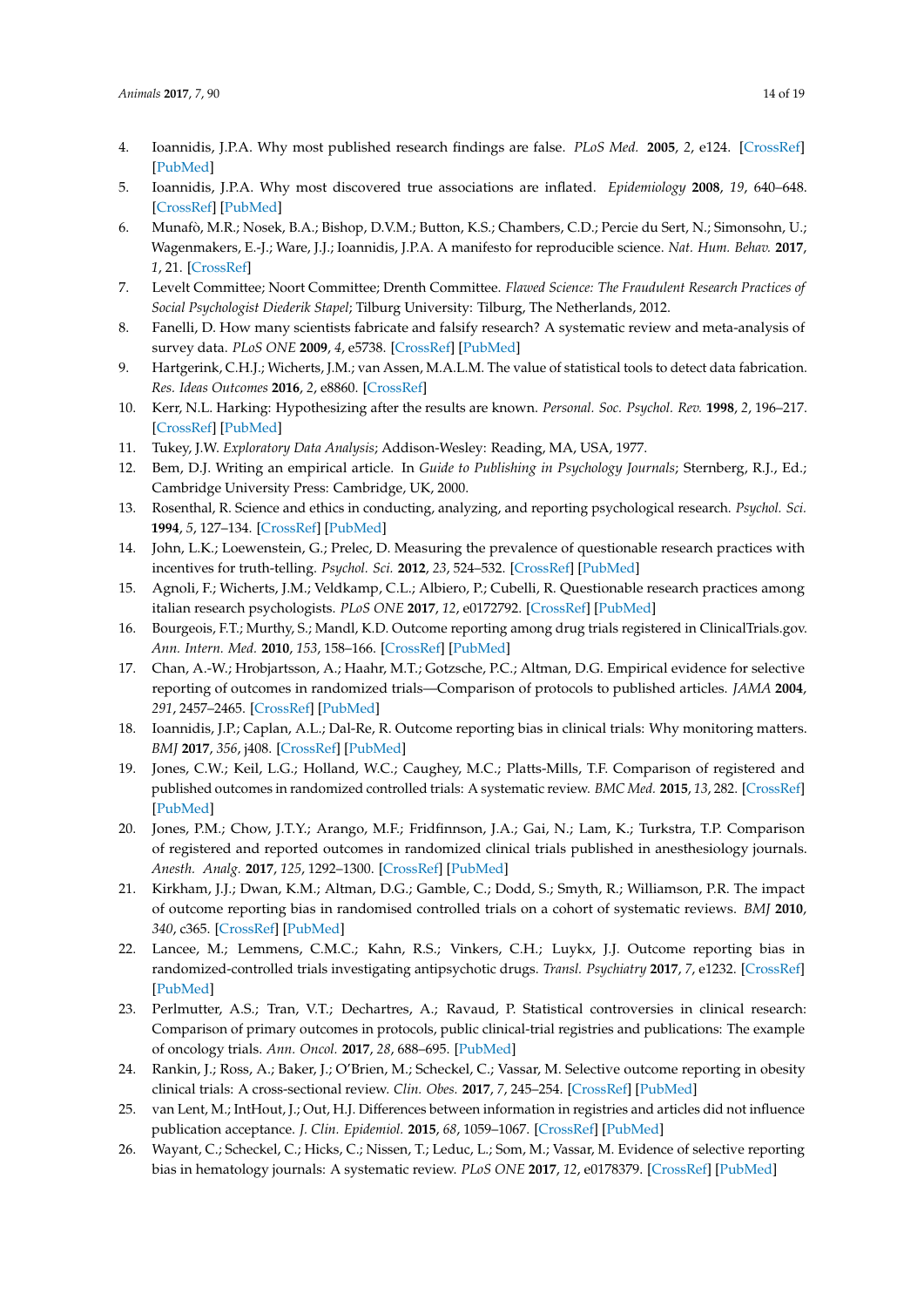- <span id="page-13-0"></span>4. Ioannidis, J.P.A. Why most published research findings are false. *PLoS Med.* **2005**, *2*, e124. [\[CrossRef\]](http://dx.doi.org/10.1371/journal.pmed.0020124) [\[PubMed\]](http://www.ncbi.nlm.nih.gov/pubmed/16060722)
- <span id="page-13-1"></span>5. Ioannidis, J.P.A. Why most discovered true associations are inflated. *Epidemiology* **2008**, *19*, 640–648. [\[CrossRef\]](http://dx.doi.org/10.1097/EDE.0b013e31818131e7) [\[PubMed\]](http://www.ncbi.nlm.nih.gov/pubmed/18633328)
- <span id="page-13-2"></span>6. Munafò, M.R.; Nosek, B.A.; Bishop, D.V.M.; Button, K.S.; Chambers, C.D.; Percie du Sert, N.; Simonsohn, U.; Wagenmakers, E.-J.; Ware, J.J.; Ioannidis, J.P.A. A manifesto for reproducible science. *Nat. Hum. Behav.* **2017**, *1*, 21. [\[CrossRef\]](http://dx.doi.org/10.1038/s41562-016-0021)
- <span id="page-13-3"></span>7. Levelt Committee; Noort Committee; Drenth Committee. *Flawed Science: The Fraudulent Research Practices of Social Psychologist Diederik Stapel*; Tilburg University: Tilburg, The Netherlands, 2012.
- <span id="page-13-4"></span>8. Fanelli, D. How many scientists fabricate and falsify research? A systematic review and meta-analysis of survey data. *PLoS ONE* **2009**, *4*, e5738. [\[CrossRef\]](http://dx.doi.org/10.1371/journal.pone.0005738) [\[PubMed\]](http://www.ncbi.nlm.nih.gov/pubmed/19478950)
- <span id="page-13-5"></span>9. Hartgerink, C.H.J.; Wicherts, J.M.; van Assen, M.A.L.M. The value of statistical tools to detect data fabrication. *Res. Ideas Outcomes* **2016**, *2*, e8860. [\[CrossRef\]](http://dx.doi.org/10.3897/rio.2.e8860)
- <span id="page-13-6"></span>10. Kerr, N.L. Harking: Hypothesizing after the results are known. *Personal. Soc. Psychol. Rev.* **1998**, *2*, 196–217. [\[CrossRef\]](http://dx.doi.org/10.1207/s15327957pspr0203_4) [\[PubMed\]](http://www.ncbi.nlm.nih.gov/pubmed/15647155)
- <span id="page-13-7"></span>11. Tukey, J.W. *Exploratory Data Analysis*; Addison-Wesley: Reading, MA, USA, 1977.
- <span id="page-13-8"></span>12. Bem, D.J. Writing an empirical article. In *Guide to Publishing in Psychology Journals*; Sternberg, R.J., Ed.; Cambridge University Press: Cambridge, UK, 2000.
- <span id="page-13-9"></span>13. Rosenthal, R. Science and ethics in conducting, analyzing, and reporting psychological research. *Psychol. Sci.* **1994**, *5*, 127–134. [\[CrossRef\]](http://dx.doi.org/10.1111/j.1467-9280.1994.tb00646.x) [\[PubMed\]](http://www.ncbi.nlm.nih.gov/pubmed/11652978)
- <span id="page-13-10"></span>14. John, L.K.; Loewenstein, G.; Prelec, D. Measuring the prevalence of questionable research practices with incentives for truth-telling. *Psychol. Sci.* **2012**, *23*, 524–532. [\[CrossRef\]](http://dx.doi.org/10.1177/0956797611430953) [\[PubMed\]](http://www.ncbi.nlm.nih.gov/pubmed/22508865)
- <span id="page-13-11"></span>15. Agnoli, F.; Wicherts, J.M.; Veldkamp, C.L.; Albiero, P.; Cubelli, R. Questionable research practices among italian research psychologists. *PLoS ONE* **2017**, *12*, e0172792. [\[CrossRef\]](http://dx.doi.org/10.1371/journal.pone.0172792) [\[PubMed\]](http://www.ncbi.nlm.nih.gov/pubmed/28296929)
- <span id="page-13-12"></span>16. Bourgeois, F.T.; Murthy, S.; Mandl, K.D. Outcome reporting among drug trials registered in ClinicalTrials.gov. *Ann. Intern. Med.* **2010**, *153*, 158–166. [\[CrossRef\]](http://dx.doi.org/10.7326/0003-4819-153-3-201008030-00006) [\[PubMed\]](http://www.ncbi.nlm.nih.gov/pubmed/20679560)
- 17. Chan, A.-W.; Hrobjartsson, A.; Haahr, M.T.; Gotzsche, P.C.; Altman, D.G. Empirical evidence for selective reporting of outcomes in randomized trials—Comparison of protocols to published articles. *JAMA* **2004**, *291*, 2457–2465. [\[CrossRef\]](http://dx.doi.org/10.1001/jama.291.20.2457) [\[PubMed\]](http://www.ncbi.nlm.nih.gov/pubmed/15161896)
- 18. Ioannidis, J.P.; Caplan, A.L.; Dal-Re, R. Outcome reporting bias in clinical trials: Why monitoring matters. *BMJ* **2017**, *356*, j408. [\[CrossRef\]](http://dx.doi.org/10.1136/bmj.j408) [\[PubMed\]](http://www.ncbi.nlm.nih.gov/pubmed/28196819)
- 19. Jones, C.W.; Keil, L.G.; Holland, W.C.; Caughey, M.C.; Platts-Mills, T.F. Comparison of registered and published outcomes in randomized controlled trials: A systematic review. *BMC Med.* **2015**, *13*, 282. [\[CrossRef\]](http://dx.doi.org/10.1186/s12916-015-0520-3) [\[PubMed\]](http://www.ncbi.nlm.nih.gov/pubmed/26581191)
- 20. Jones, P.M.; Chow, J.T.Y.; Arango, M.F.; Fridfinnson, J.A.; Gai, N.; Lam, K.; Turkstra, T.P. Comparison of registered and reported outcomes in randomized clinical trials published in anesthesiology journals. *Anesth. Analg.* **2017**, *125*, 1292–1300. [\[CrossRef\]](http://dx.doi.org/10.1213/ANE.0000000000002272) [\[PubMed\]](http://www.ncbi.nlm.nih.gov/pubmed/28704247)
- 21. Kirkham, J.J.; Dwan, K.M.; Altman, D.G.; Gamble, C.; Dodd, S.; Smyth, R.; Williamson, P.R. The impact of outcome reporting bias in randomised controlled trials on a cohort of systematic reviews. *BMJ* **2010**, *340*, c365. [\[CrossRef\]](http://dx.doi.org/10.1136/bmj.c365) [\[PubMed\]](http://www.ncbi.nlm.nih.gov/pubmed/20156912)
- 22. Lancee, M.; Lemmens, C.M.C.; Kahn, R.S.; Vinkers, C.H.; Luykx, J.J. Outcome reporting bias in randomized-controlled trials investigating antipsychotic drugs. *Transl. Psychiatry* **2017**, *7*, e1232. [\[CrossRef\]](http://dx.doi.org/10.1038/tp.2017.203) [\[PubMed\]](http://www.ncbi.nlm.nih.gov/pubmed/28895941)
- 23. Perlmutter, A.S.; Tran, V.T.; Dechartres, A.; Ravaud, P. Statistical controversies in clinical research: Comparison of primary outcomes in protocols, public clinical-trial registries and publications: The example of oncology trials. *Ann. Oncol.* **2017**, *28*, 688–695. [\[PubMed\]](http://www.ncbi.nlm.nih.gov/pubmed/28011448)
- 24. Rankin, J.; Ross, A.; Baker, J.; O'Brien, M.; Scheckel, C.; Vassar, M. Selective outcome reporting in obesity clinical trials: A cross-sectional review. *Clin. Obes.* **2017**, *7*, 245–254. [\[CrossRef\]](http://dx.doi.org/10.1111/cob.12199) [\[PubMed\]](http://www.ncbi.nlm.nih.gov/pubmed/28557240)
- 25. van Lent, M.; IntHout, J.; Out, H.J. Differences between information in registries and articles did not influence publication acceptance. *J. Clin. Epidemiol.* **2015**, *68*, 1059–1067. [\[CrossRef\]](http://dx.doi.org/10.1016/j.jclinepi.2014.11.019) [\[PubMed\]](http://www.ncbi.nlm.nih.gov/pubmed/25542517)
- <span id="page-13-13"></span>26. Wayant, C.; Scheckel, C.; Hicks, C.; Nissen, T.; Leduc, L.; Som, M.; Vassar, M. Evidence of selective reporting bias in hematology journals: A systematic review. *PLoS ONE* **2017**, *12*, e0178379. [\[CrossRef\]](http://dx.doi.org/10.1371/journal.pone.0178379) [\[PubMed\]](http://www.ncbi.nlm.nih.gov/pubmed/28570573)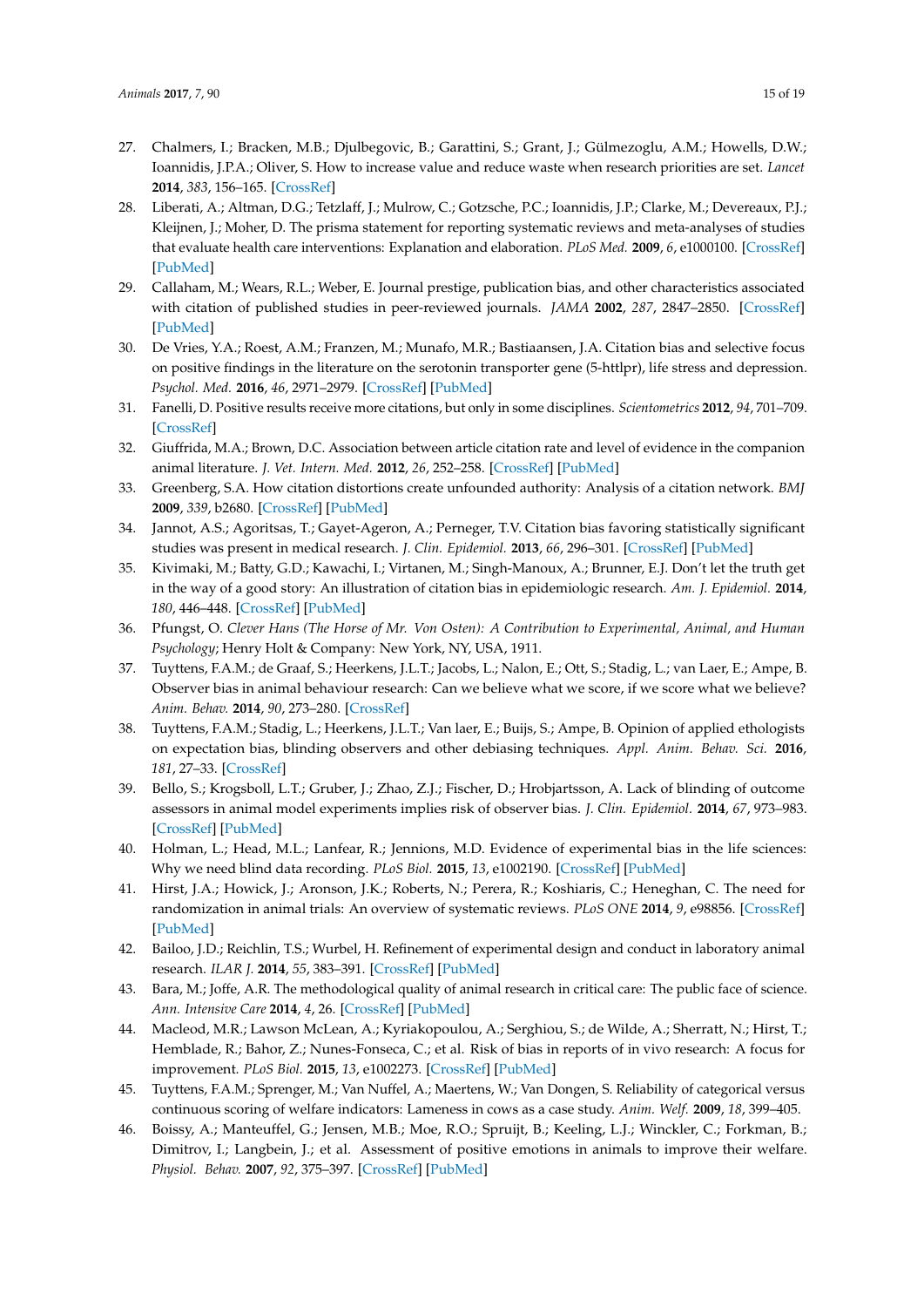- <span id="page-14-0"></span>27. Chalmers, I.; Bracken, M.B.; Djulbegovic, B.; Garattini, S.; Grant, J.; Gülmezoglu, A.M.; Howells, D.W.; Ioannidis, J.P.A.; Oliver, S. How to increase value and reduce waste when research priorities are set. *Lancet* **2014**, *383*, 156–165. [\[CrossRef\]](http://dx.doi.org/10.1016/S0140-6736(13)62229-1)
- <span id="page-14-1"></span>28. Liberati, A.; Altman, D.G.; Tetzlaff, J.; Mulrow, C.; Gotzsche, P.C.; Ioannidis, J.P.; Clarke, M.; Devereaux, P.J.; Kleijnen, J.; Moher, D. The prisma statement for reporting systematic reviews and meta-analyses of studies that evaluate health care interventions: Explanation and elaboration. *PLoS Med.* **2009**, *6*, e1000100. [\[CrossRef\]](http://dx.doi.org/10.1371/journal.pmed.1000100) [\[PubMed\]](http://www.ncbi.nlm.nih.gov/pubmed/19621070)
- <span id="page-14-2"></span>29. Callaham, M.; Wears, R.L.; Weber, E. Journal prestige, publication bias, and other characteristics associated with citation of published studies in peer-reviewed journals. *JAMA* **2002**, *287*, 2847–2850. [\[CrossRef\]](http://dx.doi.org/10.1001/jama.287.21.2847) [\[PubMed\]](http://www.ncbi.nlm.nih.gov/pubmed/12038930)
- 30. De Vries, Y.A.; Roest, A.M.; Franzen, M.; Munafo, M.R.; Bastiaansen, J.A. Citation bias and selective focus on positive findings in the literature on the serotonin transporter gene (5-httlpr), life stress and depression. *Psychol. Med.* **2016**, *46*, 2971–2979. [\[CrossRef\]](http://dx.doi.org/10.1017/S0033291716000805) [\[PubMed\]](http://www.ncbi.nlm.nih.gov/pubmed/27515846)
- 31. Fanelli, D. Positive results receive more citations, but only in some disciplines. *Scientometrics* **2012**, *94*, 701–709. [\[CrossRef\]](http://dx.doi.org/10.1007/s11192-012-0757-y)
- 32. Giuffrida, M.A.; Brown, D.C. Association between article citation rate and level of evidence in the companion animal literature. *J. Vet. Intern. Med.* **2012**, *26*, 252–258. [\[CrossRef\]](http://dx.doi.org/10.1111/j.1939-1676.2011.00869.x) [\[PubMed\]](http://www.ncbi.nlm.nih.gov/pubmed/22268956)
- 33. Greenberg, S.A. How citation distortions create unfounded authority: Analysis of a citation network. *BMJ* **2009**, *339*, b2680. [\[CrossRef\]](http://dx.doi.org/10.1136/bmj.b2680) [\[PubMed\]](http://www.ncbi.nlm.nih.gov/pubmed/19622839)
- 34. Jannot, A.S.; Agoritsas, T.; Gayet-Ageron, A.; Perneger, T.V. Citation bias favoring statistically significant studies was present in medical research. *J. Clin. Epidemiol.* **2013**, *66*, 296–301. [\[CrossRef\]](http://dx.doi.org/10.1016/j.jclinepi.2012.09.015) [\[PubMed\]](http://www.ncbi.nlm.nih.gov/pubmed/23347853)
- <span id="page-14-3"></span>35. Kivimaki, M.; Batty, G.D.; Kawachi, I.; Virtanen, M.; Singh-Manoux, A.; Brunner, E.J. Don't let the truth get in the way of a good story: An illustration of citation bias in epidemiologic research. *Am. J. Epidemiol.* **2014**, *180*, 446–448. [\[CrossRef\]](http://dx.doi.org/10.1093/aje/kwu164) [\[PubMed\]](http://www.ncbi.nlm.nih.gov/pubmed/24989242)
- <span id="page-14-4"></span>36. Pfungst, O. *Clever Hans (The Horse of Mr. Von Osten): A Contribution to Experimental, Animal, and Human Psychology*; Henry Holt & Company: New York, NY, USA, 1911.
- <span id="page-14-5"></span>37. Tuyttens, F.A.M.; de Graaf, S.; Heerkens, J.L.T.; Jacobs, L.; Nalon, E.; Ott, S.; Stadig, L.; van Laer, E.; Ampe, B. Observer bias in animal behaviour research: Can we believe what we score, if we score what we believe? *Anim. Behav.* **2014**, *90*, 273–280. [\[CrossRef\]](http://dx.doi.org/10.1016/j.anbehav.2014.02.007)
- <span id="page-14-6"></span>38. Tuyttens, F.A.M.; Stadig, L.; Heerkens, J.L.T.; Van laer, E.; Buijs, S.; Ampe, B. Opinion of applied ethologists on expectation bias, blinding observers and other debiasing techniques. *Appl. Anim. Behav. Sci.* **2016**, *181*, 27–33. [\[CrossRef\]](http://dx.doi.org/10.1016/j.applanim.2016.04.019)
- <span id="page-14-7"></span>39. Bello, S.; Krogsboll, L.T.; Gruber, J.; Zhao, Z.J.; Fischer, D.; Hrobjartsson, A. Lack of blinding of outcome assessors in animal model experiments implies risk of observer bias. *J. Clin. Epidemiol.* **2014**, *67*, 973–983. [\[CrossRef\]](http://dx.doi.org/10.1016/j.jclinepi.2014.04.008) [\[PubMed\]](http://www.ncbi.nlm.nih.gov/pubmed/24972762)
- <span id="page-14-8"></span>40. Holman, L.; Head, M.L.; Lanfear, R.; Jennions, M.D. Evidence of experimental bias in the life sciences: Why we need blind data recording. *PLoS Biol.* **2015**, *13*, e1002190. [\[CrossRef\]](http://dx.doi.org/10.1371/journal.pbio.1002190) [\[PubMed\]](http://www.ncbi.nlm.nih.gov/pubmed/26154287)
- <span id="page-14-9"></span>41. Hirst, J.A.; Howick, J.; Aronson, J.K.; Roberts, N.; Perera, R.; Koshiaris, C.; Heneghan, C. The need for randomization in animal trials: An overview of systematic reviews. *PLoS ONE* **2014**, *9*, e98856. [\[CrossRef\]](http://dx.doi.org/10.1371/journal.pone.0098856) [\[PubMed\]](http://www.ncbi.nlm.nih.gov/pubmed/24906117)
- 42. Bailoo, J.D.; Reichlin, T.S.; Wurbel, H. Refinement of experimental design and conduct in laboratory animal research. *ILAR J.* **2014**, *55*, 383–391. [\[CrossRef\]](http://dx.doi.org/10.1093/ilar/ilu037) [\[PubMed\]](http://www.ncbi.nlm.nih.gov/pubmed/25541540)
- 43. Bara, M.; Joffe, A.R. The methodological quality of animal research in critical care: The public face of science. *Ann. Intensive Care* **2014**, *4*, 26. [\[CrossRef\]](http://dx.doi.org/10.1186/s13613-014-0026-8) [\[PubMed\]](http://www.ncbi.nlm.nih.gov/pubmed/25114829)
- <span id="page-14-10"></span>44. Macleod, M.R.; Lawson McLean, A.; Kyriakopoulou, A.; Serghiou, S.; de Wilde, A.; Sherratt, N.; Hirst, T.; Hemblade, R.; Bahor, Z.; Nunes-Fonseca, C.; et al. Risk of bias in reports of in vivo research: A focus for improvement. *PLoS Biol.* **2015**, *13*, e1002273. [\[CrossRef\]](http://dx.doi.org/10.1371/journal.pbio.1002273) [\[PubMed\]](http://www.ncbi.nlm.nih.gov/pubmed/26460723)
- <span id="page-14-11"></span>45. Tuyttens, F.A.M.; Sprenger, M.; Van Nuffel, A.; Maertens, W.; Van Dongen, S. Reliability of categorical versus continuous scoring of welfare indicators: Lameness in cows as a case study. *Anim. Welf.* **2009**, *18*, 399–405.
- 46. Boissy, A.; Manteuffel, G.; Jensen, M.B.; Moe, R.O.; Spruijt, B.; Keeling, L.J.; Winckler, C.; Forkman, B.; Dimitrov, I.; Langbein, J.; et al. Assessment of positive emotions in animals to improve their welfare. *Physiol. Behav.* **2007**, *92*, 375–397. [\[CrossRef\]](http://dx.doi.org/10.1016/j.physbeh.2007.02.003) [\[PubMed\]](http://www.ncbi.nlm.nih.gov/pubmed/17428510)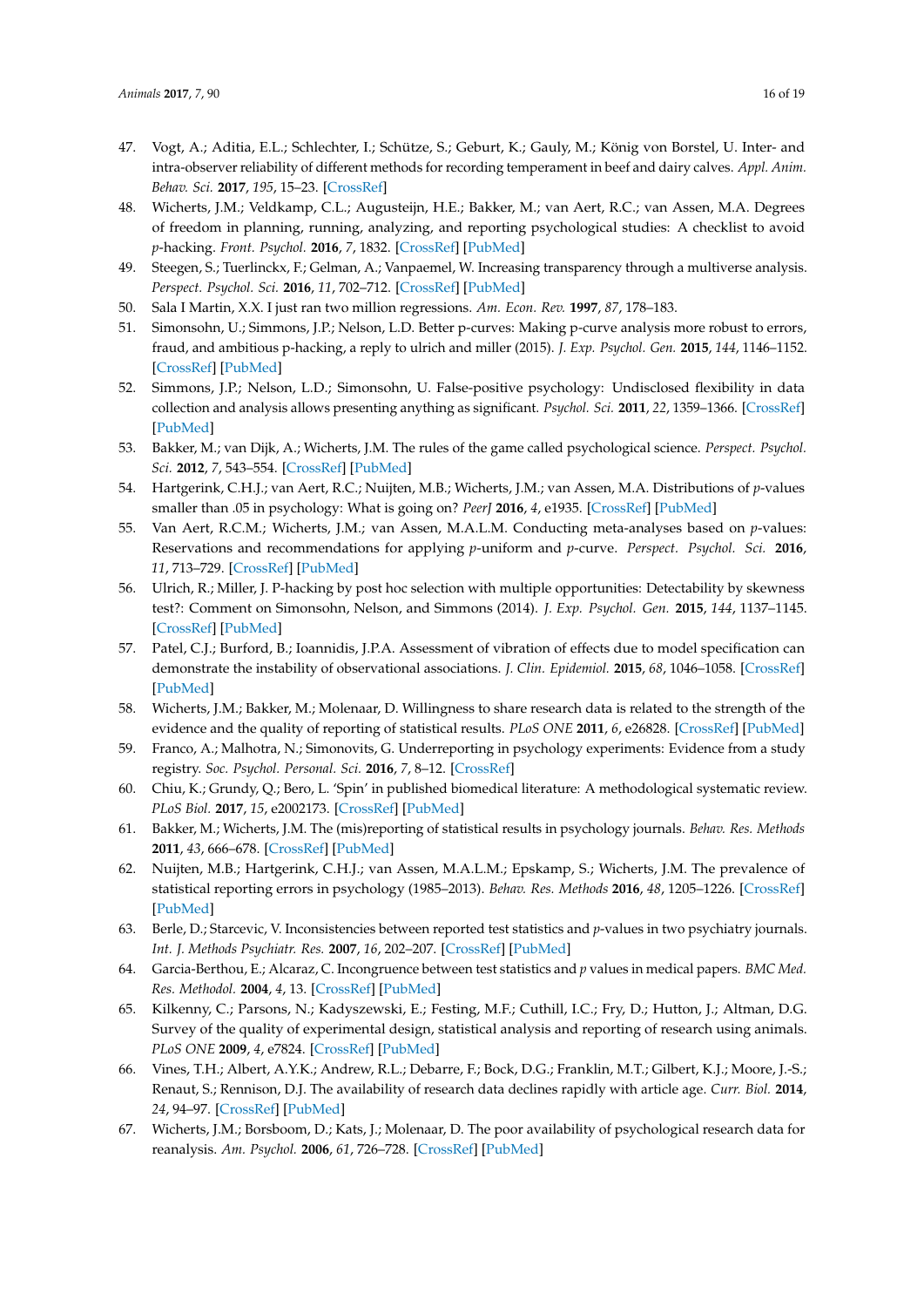- <span id="page-15-0"></span>47. Vogt, A.; Aditia, E.L.; Schlechter, I.; Schütze, S.; Geburt, K.; Gauly, M.; König von Borstel, U. Inter- and intra-observer reliability of different methods for recording temperament in beef and dairy calves. *Appl. Anim. Behav. Sci.* **2017**, *195*, 15–23. [\[CrossRef\]](http://dx.doi.org/10.1016/j.applanim.2017.06.008)
- <span id="page-15-1"></span>48. Wicherts, J.M.; Veldkamp, C.L.; Augusteijn, H.E.; Bakker, M.; van Aert, R.C.; van Assen, M.A. Degrees of freedom in planning, running, analyzing, and reporting psychological studies: A checklist to avoid *p*-hacking. *Front. Psychol.* **2016**, *7*, 1832. [\[CrossRef\]](http://dx.doi.org/10.3389/fpsyg.2016.01832) [\[PubMed\]](http://www.ncbi.nlm.nih.gov/pubmed/27933012)
- <span id="page-15-2"></span>49. Steegen, S.; Tuerlinckx, F.; Gelman, A.; Vanpaemel, W. Increasing transparency through a multiverse analysis. *Perspect. Psychol. Sci.* **2016**, *11*, 702–712. [\[CrossRef\]](http://dx.doi.org/10.1177/1745691616658637) [\[PubMed\]](http://www.ncbi.nlm.nih.gov/pubmed/27694465)
- <span id="page-15-3"></span>50. Sala I Martin, X.X. I just ran two million regressions. *Am. Econ. Rev.* **1997**, *87*, 178–183.
- <span id="page-15-4"></span>51. Simonsohn, U.; Simmons, J.P.; Nelson, L.D. Better p-curves: Making p-curve analysis more robust to errors, fraud, and ambitious p-hacking, a reply to ulrich and miller (2015). *J. Exp. Psychol. Gen.* **2015**, *144*, 1146–1152. [\[CrossRef\]](http://dx.doi.org/10.1037/xge0000104) [\[PubMed\]](http://www.ncbi.nlm.nih.gov/pubmed/26595842)
- <span id="page-15-5"></span>52. Simmons, J.P.; Nelson, L.D.; Simonsohn, U. False-positive psychology: Undisclosed flexibility in data collection and analysis allows presenting anything as significant. *Psychol. Sci.* **2011**, *22*, 1359–1366. [\[CrossRef\]](http://dx.doi.org/10.1177/0956797611417632) [\[PubMed\]](http://www.ncbi.nlm.nih.gov/pubmed/22006061)
- <span id="page-15-6"></span>53. Bakker, M.; van Dijk, A.; Wicherts, J.M. The rules of the game called psychological science. *Perspect. Psychol. Sci.* **2012**, *7*, 543–554. [\[CrossRef\]](http://dx.doi.org/10.1177/1745691612459060) [\[PubMed\]](http://www.ncbi.nlm.nih.gov/pubmed/26168111)
- <span id="page-15-7"></span>54. Hartgerink, C.H.J.; van Aert, R.C.; Nuijten, M.B.; Wicherts, J.M.; van Assen, M.A. Distributions of *p*-values smaller than .05 in psychology: What is going on? *PeerJ* **2016**, *4*, e1935. [\[CrossRef\]](http://dx.doi.org/10.7717/peerj.1935) [\[PubMed\]](http://www.ncbi.nlm.nih.gov/pubmed/27077017)
- 55. Van Aert, R.C.M.; Wicherts, J.M.; van Assen, M.A.L.M. Conducting meta-analyses based on *p*-values: Reservations and recommendations for applying *p*-uniform and *p*-curve. *Perspect. Psychol. Sci.* **2016**, *11*, 713–729. [\[CrossRef\]](http://dx.doi.org/10.1177/1745691616650874) [\[PubMed\]](http://www.ncbi.nlm.nih.gov/pubmed/27694466)
- <span id="page-15-8"></span>56. Ulrich, R.; Miller, J. P-hacking by post hoc selection with multiple opportunities: Detectability by skewness test?: Comment on Simonsohn, Nelson, and Simmons (2014). *J. Exp. Psychol. Gen.* **2015**, *144*, 1137–1145. [\[CrossRef\]](http://dx.doi.org/10.1037/xge0000086) [\[PubMed\]](http://www.ncbi.nlm.nih.gov/pubmed/26595841)
- <span id="page-15-9"></span>57. Patel, C.J.; Burford, B.; Ioannidis, J.P.A. Assessment of vibration of effects due to model specification can demonstrate the instability of observational associations. *J. Clin. Epidemiol.* **2015**, *68*, 1046–1058. [\[CrossRef\]](http://dx.doi.org/10.1016/j.jclinepi.2015.05.029) [\[PubMed\]](http://www.ncbi.nlm.nih.gov/pubmed/26279400)
- <span id="page-15-10"></span>58. Wicherts, J.M.; Bakker, M.; Molenaar, D. Willingness to share research data is related to the strength of the evidence and the quality of reporting of statistical results. *PLoS ONE* **2011**, *6*, e26828. [\[CrossRef\]](http://dx.doi.org/10.1371/journal.pone.0026828) [\[PubMed\]](http://www.ncbi.nlm.nih.gov/pubmed/22073203)
- <span id="page-15-11"></span>59. Franco, A.; Malhotra, N.; Simonovits, G. Underreporting in psychology experiments: Evidence from a study registry. *Soc. Psychol. Personal. Sci.* **2016**, *7*, 8–12. [\[CrossRef\]](http://dx.doi.org/10.1177/1948550615598377)
- <span id="page-15-12"></span>60. Chiu, K.; Grundy, Q.; Bero, L. 'Spin' in published biomedical literature: A methodological systematic review. *PLoS Biol.* **2017**, *15*, e2002173. [\[CrossRef\]](http://dx.doi.org/10.1371/journal.pbio.2002173) [\[PubMed\]](http://www.ncbi.nlm.nih.gov/pubmed/28892482)
- <span id="page-15-13"></span>61. Bakker, M.; Wicherts, J.M. The (mis)reporting of statistical results in psychology journals. *Behav. Res. Methods* **2011**, *43*, 666–678. [\[CrossRef\]](http://dx.doi.org/10.3758/s13428-011-0089-5) [\[PubMed\]](http://www.ncbi.nlm.nih.gov/pubmed/21494917)
- <span id="page-15-14"></span>62. Nuijten, M.B.; Hartgerink, C.H.J.; van Assen, M.A.L.M.; Epskamp, S.; Wicherts, J.M. The prevalence of statistical reporting errors in psychology (1985–2013). *Behav. Res. Methods* **2016**, *48*, 1205–1226. [\[CrossRef\]](http://dx.doi.org/10.3758/s13428-015-0664-2) [\[PubMed\]](http://www.ncbi.nlm.nih.gov/pubmed/26497820)
- <span id="page-15-15"></span>63. Berle, D.; Starcevic, V. Inconsistencies between reported test statistics and *p*-values in two psychiatry journals. *Int. J. Methods Psychiatr. Res.* **2007**, *16*, 202–207. [\[CrossRef\]](http://dx.doi.org/10.1002/mpr.225) [\[PubMed\]](http://www.ncbi.nlm.nih.gov/pubmed/18188836)
- <span id="page-15-16"></span>64. Garcia-Berthou, E.; Alcaraz, C. Incongruence between test statistics and *p* values in medical papers. *BMC Med. Res. Methodol.* **2004**, *4*, 13. [\[CrossRef\]](http://dx.doi.org/10.1186/1471-2288-4-13) [\[PubMed\]](http://www.ncbi.nlm.nih.gov/pubmed/15169550)
- <span id="page-15-17"></span>65. Kilkenny, C.; Parsons, N.; Kadyszewski, E.; Festing, M.F.; Cuthill, I.C.; Fry, D.; Hutton, J.; Altman, D.G. Survey of the quality of experimental design, statistical analysis and reporting of research using animals. *PLoS ONE* **2009**, *4*, e7824. [\[CrossRef\]](http://dx.doi.org/10.1371/journal.pone.0007824) [\[PubMed\]](http://www.ncbi.nlm.nih.gov/pubmed/19956596)
- <span id="page-15-18"></span>66. Vines, T.H.; Albert, A.Y.K.; Andrew, R.L.; Debarre, F.; Bock, D.G.; Franklin, M.T.; Gilbert, K.J.; Moore, J.-S.; Renaut, S.; Rennison, D.J. The availability of research data declines rapidly with article age. *Curr. Biol.* **2014**, *24*, 94–97. [\[CrossRef\]](http://dx.doi.org/10.1016/j.cub.2013.11.014) [\[PubMed\]](http://www.ncbi.nlm.nih.gov/pubmed/24361065)
- <span id="page-15-19"></span>67. Wicherts, J.M.; Borsboom, D.; Kats, J.; Molenaar, D. The poor availability of psychological research data for reanalysis. *Am. Psychol.* **2006**, *61*, 726–728. [\[CrossRef\]](http://dx.doi.org/10.1037/0003-066X.61.7.726) [\[PubMed\]](http://www.ncbi.nlm.nih.gov/pubmed/17032082)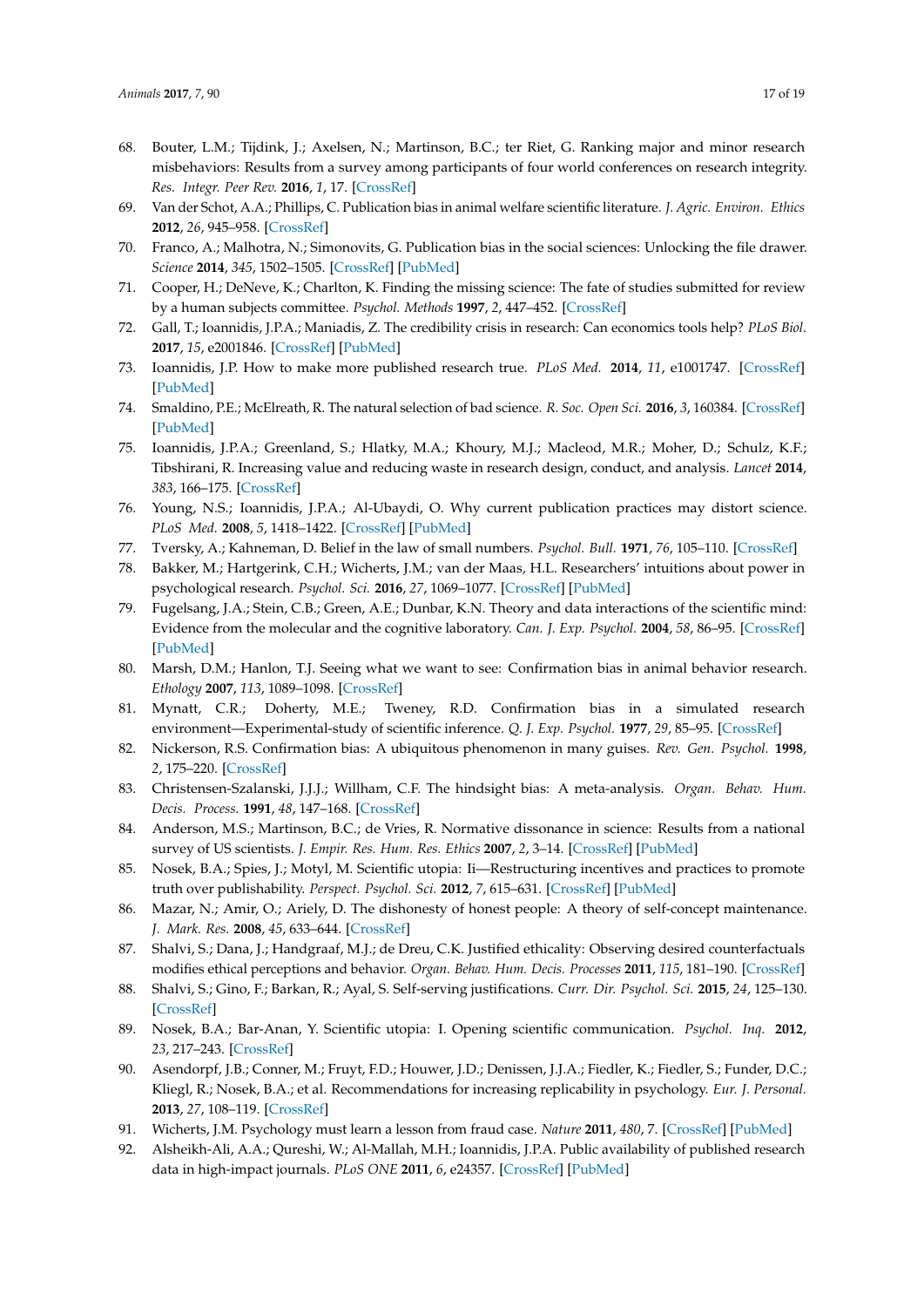- <span id="page-16-0"></span>68. Bouter, L.M.; Tijdink, J.; Axelsen, N.; Martinson, B.C.; ter Riet, G. Ranking major and minor research misbehaviors: Results from a survey among participants of four world conferences on research integrity. *Res. Integr. Peer Rev.* **2016**, *1*, 17. [\[CrossRef\]](http://dx.doi.org/10.1186/s41073-016-0024-5)
- <span id="page-16-1"></span>69. Van der Schot, A.A.; Phillips, C. Publication bias in animal welfare scientific literature. *J. Agric. Environ. Ethics* **2012**, *26*, 945–958. [\[CrossRef\]](http://dx.doi.org/10.1007/s10806-012-9433-8)
- <span id="page-16-2"></span>70. Franco, A.; Malhotra, N.; Simonovits, G. Publication bias in the social sciences: Unlocking the file drawer. *Science* **2014**, *345*, 1502–1505. [\[CrossRef\]](http://dx.doi.org/10.1126/science.1255484) [\[PubMed\]](http://www.ncbi.nlm.nih.gov/pubmed/25170047)
- <span id="page-16-3"></span>71. Cooper, H.; DeNeve, K.; Charlton, K. Finding the missing science: The fate of studies submitted for review by a human subjects committee. *Psychol. Methods* **1997**, *2*, 447–452. [\[CrossRef\]](http://dx.doi.org/10.1037/1082-989X.2.4.447)
- <span id="page-16-4"></span>72. Gall, T.; Ioannidis, J.P.A.; Maniadis, Z. The credibility crisis in research: Can economics tools help? *PLoS Biol.* **2017**, *15*, e2001846. [\[CrossRef\]](http://dx.doi.org/10.1371/journal.pbio.2001846) [\[PubMed\]](http://www.ncbi.nlm.nih.gov/pubmed/28445470)
- 73. Ioannidis, J.P. How to make more published research true. *PLoS Med.* **2014**, *11*, e1001747. [\[CrossRef\]](http://dx.doi.org/10.1371/journal.pmed.1001747) [\[PubMed\]](http://www.ncbi.nlm.nih.gov/pubmed/25334033)
- 74. Smaldino, P.E.; McElreath, R. The natural selection of bad science. *R. Soc. Open Sci.* **2016**, *3*, 160384. [\[CrossRef\]](http://dx.doi.org/10.1098/rsos.160384) [\[PubMed\]](http://www.ncbi.nlm.nih.gov/pubmed/27703703)
- 75. Ioannidis, J.P.A.; Greenland, S.; Hlatky, M.A.; Khoury, M.J.; Macleod, M.R.; Moher, D.; Schulz, K.F.; Tibshirani, R. Increasing value and reducing waste in research design, conduct, and analysis. *Lancet* **2014**, *383*, 166–175. [\[CrossRef\]](http://dx.doi.org/10.1016/S0140-6736(13)62227-8)
- <span id="page-16-5"></span>76. Young, N.S.; Ioannidis, J.P.A.; Al-Ubaydi, O. Why current publication practices may distort science. *PLoS Med.* **2008**, *5*, 1418–1422. [\[CrossRef\]](http://dx.doi.org/10.1371/journal.pmed.0050201) [\[PubMed\]](http://www.ncbi.nlm.nih.gov/pubmed/18844432)
- <span id="page-16-6"></span>77. Tversky, A.; Kahneman, D. Belief in the law of small numbers. *Psychol. Bull.* **1971**, *76*, 105–110. [\[CrossRef\]](http://dx.doi.org/10.1037/h0031322)
- <span id="page-16-7"></span>78. Bakker, M.; Hartgerink, C.H.; Wicherts, J.M.; van der Maas, H.L. Researchers' intuitions about power in psychological research. *Psychol. Sci.* **2016**, *27*, 1069–1077. [\[CrossRef\]](http://dx.doi.org/10.1177/0956797616647519) [\[PubMed\]](http://www.ncbi.nlm.nih.gov/pubmed/27354203)
- <span id="page-16-8"></span>79. Fugelsang, J.A.; Stein, C.B.; Green, A.E.; Dunbar, K.N. Theory and data interactions of the scientific mind: Evidence from the molecular and the cognitive laboratory. *Can. J. Exp. Psychol.* **2004**, *58*, 86–95. [\[CrossRef\]](http://dx.doi.org/10.1037/h0085799) [\[PubMed\]](http://www.ncbi.nlm.nih.gov/pubmed/15285598)
- 80. Marsh, D.M.; Hanlon, T.J. Seeing what we want to see: Confirmation bias in animal behavior research. *Ethology* **2007**, *113*, 1089–1098. [\[CrossRef\]](http://dx.doi.org/10.1111/j.1439-0310.2007.01406.x)
- 81. Mynatt, C.R.; Doherty, M.E.; Tweney, R.D. Confirmation bias in a simulated research environment—Experimental-study of scientific inference. *Q. J. Exp. Psychol.* **1977**, *29*, 85–95. [\[CrossRef\]](http://dx.doi.org/10.1080/00335557743000053)
- <span id="page-16-9"></span>82. Nickerson, R.S. Confirmation bias: A ubiquitous phenomenon in many guises. *Rev. Gen. Psychol.* **1998**, *2*, 175–220. [\[CrossRef\]](http://dx.doi.org/10.1037/1089-2680.2.2.175)
- <span id="page-16-10"></span>83. Christensen-Szalanski, J.J.J.; Willham, C.F. The hindsight bias: A meta-analysis. *Organ. Behav. Hum. Decis. Process.* **1991**, *48*, 147–168. [\[CrossRef\]](http://dx.doi.org/10.1016/0749-5978(91)90010-Q)
- <span id="page-16-11"></span>84. Anderson, M.S.; Martinson, B.C.; de Vries, R. Normative dissonance in science: Results from a national survey of US scientists. *J. Empir. Res. Hum. Res. Ethics* **2007**, *2*, 3–14. [\[CrossRef\]](http://dx.doi.org/10.1525/jer.2007.2.4.3) [\[PubMed\]](http://www.ncbi.nlm.nih.gov/pubmed/19385804)
- <span id="page-16-12"></span>85. Nosek, B.A.; Spies, J.; Motyl, M. Scientific utopia: Ii—Restructuring incentives and practices to promote truth over publishability. *Perspect. Psychol. Sci.* **2012**, *7*, 615–631. [\[CrossRef\]](http://dx.doi.org/10.1177/1745691612459058) [\[PubMed\]](http://www.ncbi.nlm.nih.gov/pubmed/26168121)
- <span id="page-16-13"></span>86. Mazar, N.; Amir, O.; Ariely, D. The dishonesty of honest people: A theory of self-concept maintenance. *J. Mark. Res.* **2008**, *45*, 633–644. [\[CrossRef\]](http://dx.doi.org/10.1509/jmkr.45.6.633)
- <span id="page-16-14"></span>87. Shalvi, S.; Dana, J.; Handgraaf, M.J.; de Dreu, C.K. Justified ethicality: Observing desired counterfactuals modifies ethical perceptions and behavior. *Organ. Behav. Hum. Decis. Processes* **2011**, *115*, 181–190. [\[CrossRef\]](http://dx.doi.org/10.1016/j.obhdp.2011.02.001)
- <span id="page-16-15"></span>88. Shalvi, S.; Gino, F.; Barkan, R.; Ayal, S. Self-serving justifications. *Curr. Dir. Psychol. Sci.* **2015**, *24*, 125–130. [\[CrossRef\]](http://dx.doi.org/10.1177/0963721414553264)
- <span id="page-16-16"></span>89. Nosek, B.A.; Bar-Anan, Y. Scientific utopia: I. Opening scientific communication. *Psychol. Inq.* **2012**, *23*, 217–243. [\[CrossRef\]](http://dx.doi.org/10.1080/1047840X.2012.692215)
- <span id="page-16-17"></span>90. Asendorpf, J.B.; Conner, M.; Fruyt, F.D.; Houwer, J.D.; Denissen, J.J.A.; Fiedler, K.; Fiedler, S.; Funder, D.C.; Kliegl, R.; Nosek, B.A.; et al. Recommendations for increasing replicability in psychology. *Eur. J. Personal.* **2013**, *27*, 108–119. [\[CrossRef\]](http://dx.doi.org/10.1002/per.1919)
- <span id="page-16-18"></span>91. Wicherts, J.M. Psychology must learn a lesson from fraud case. *Nature* **2011**, *480*, 7. [\[CrossRef\]](http://dx.doi.org/10.1038/480007a) [\[PubMed\]](http://www.ncbi.nlm.nih.gov/pubmed/22129686)
- <span id="page-16-19"></span>92. Alsheikh-Ali, A.A.; Qureshi, W.; Al-Mallah, M.H.; Ioannidis, J.P.A. Public availability of published research data in high-impact journals. *PLoS ONE* **2011**, *6*, e24357. [\[CrossRef\]](http://dx.doi.org/10.1371/journal.pone.0024357) [\[PubMed\]](http://www.ncbi.nlm.nih.gov/pubmed/21915316)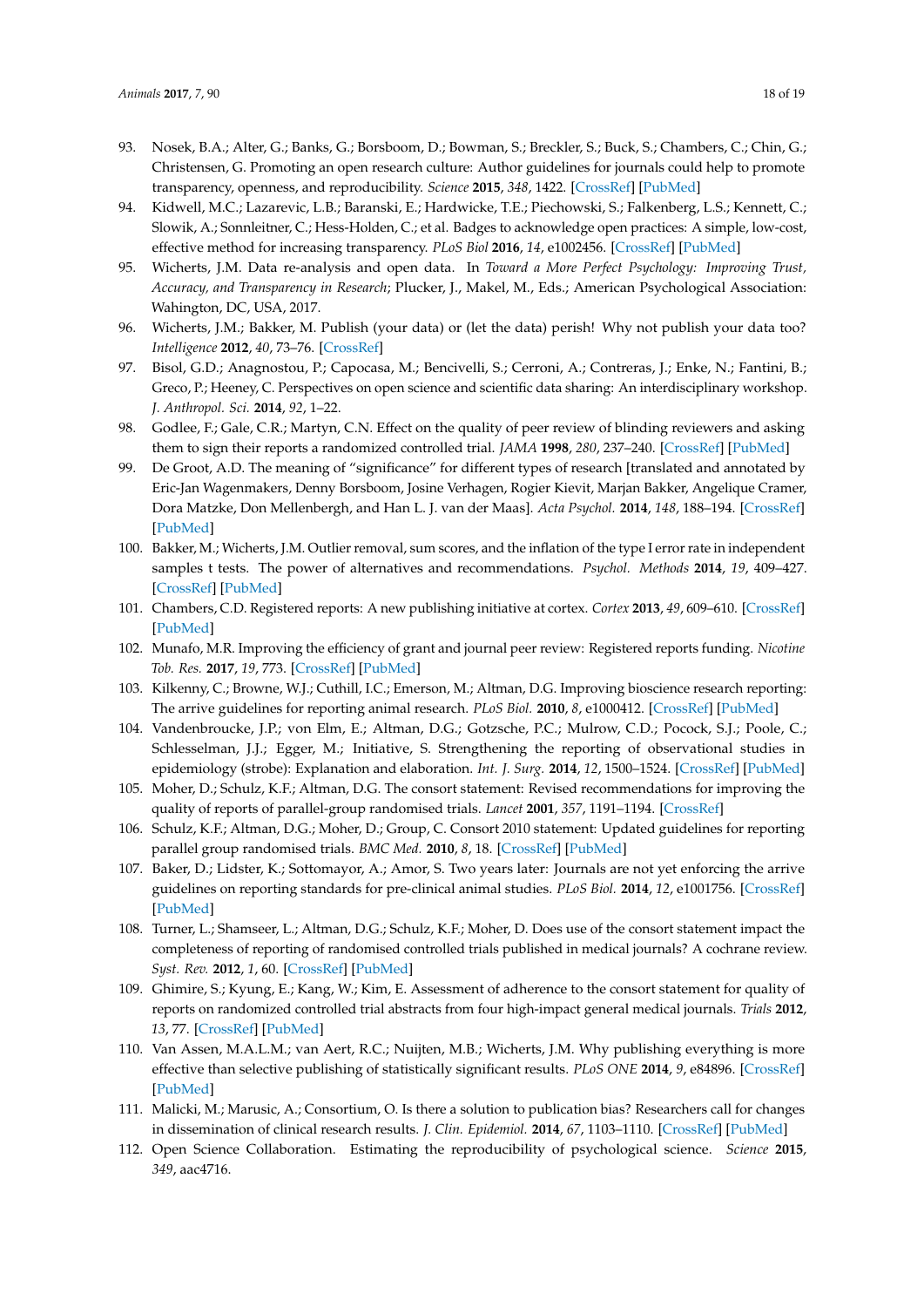- <span id="page-17-0"></span>93. Nosek, B.A.; Alter, G.; Banks, G.; Borsboom, D.; Bowman, S.; Breckler, S.; Buck, S.; Chambers, C.; Chin, G.; Christensen, G. Promoting an open research culture: Author guidelines for journals could help to promote transparency, openness, and reproducibility. *Science* **2015**, *348*, 1422. [\[CrossRef\]](http://dx.doi.org/10.1126/science.aab2374) [\[PubMed\]](http://www.ncbi.nlm.nih.gov/pubmed/26113702)
- <span id="page-17-1"></span>94. Kidwell, M.C.; Lazarevic, L.B.; Baranski, E.; Hardwicke, T.E.; Piechowski, S.; Falkenberg, L.S.; Kennett, C.; Slowik, A.; Sonnleitner, C.; Hess-Holden, C.; et al. Badges to acknowledge open practices: A simple, low-cost, effective method for increasing transparency. *PLoS Biol* **2016**, *14*, e1002456. [\[CrossRef\]](http://dx.doi.org/10.1371/journal.pbio.1002456) [\[PubMed\]](http://www.ncbi.nlm.nih.gov/pubmed/27171007)
- <span id="page-17-2"></span>95. Wicherts, J.M. Data re-analysis and open data. In *Toward a More Perfect Psychology: Improving Trust, Accuracy, and Transparency in Research*; Plucker, J., Makel, M., Eds.; American Psychological Association: Wahington, DC, USA, 2017.
- 96. Wicherts, J.M.; Bakker, M. Publish (your data) or (let the data) perish! Why not publish your data too? *Intelligence* **2012**, *40*, 73–76. [\[CrossRef\]](http://dx.doi.org/10.1016/j.intell.2012.01.004)
- <span id="page-17-3"></span>97. Bisol, G.D.; Anagnostou, P.; Capocasa, M.; Bencivelli, S.; Cerroni, A.; Contreras, J.; Enke, N.; Fantini, B.; Greco, P.; Heeney, C. Perspectives on open science and scientific data sharing: An interdisciplinary workshop. *J. Anthropol. Sci.* **2014**, *92*, 1–22.
- <span id="page-17-4"></span>98. Godlee, F.; Gale, C.R.; Martyn, C.N. Effect on the quality of peer review of blinding reviewers and asking them to sign their reports a randomized controlled trial. *JAMA* **1998**, *280*, 237–240. [\[CrossRef\]](http://dx.doi.org/10.1001/jama.280.3.237) [\[PubMed\]](http://www.ncbi.nlm.nih.gov/pubmed/9676667)
- <span id="page-17-5"></span>99. De Groot, A.D. The meaning of "significance" for different types of research [translated and annotated by Eric-Jan Wagenmakers, Denny Borsboom, Josine Verhagen, Rogier Kievit, Marjan Bakker, Angelique Cramer, Dora Matzke, Don Mellenbergh, and Han L. J. van der Maas]. *Acta Psychol.* **2014**, *148*, 188–194. [\[CrossRef\]](http://dx.doi.org/10.1016/j.actpsy.2014.02.001) [\[PubMed\]](http://www.ncbi.nlm.nih.gov/pubmed/24589374)
- <span id="page-17-6"></span>100. Bakker, M.; Wicherts, J.M. Outlier removal, sum scores, and the inflation of the type I error rate in independent samples t tests. The power of alternatives and recommendations. *Psychol. Methods* **2014**, *19*, 409–427. [\[CrossRef\]](http://dx.doi.org/10.1037/met0000014) [\[PubMed\]](http://www.ncbi.nlm.nih.gov/pubmed/24773354)
- <span id="page-17-7"></span>101. Chambers, C.D. Registered reports: A new publishing initiative at cortex. *Cortex* **2013**, *49*, 609–610. [\[CrossRef\]](http://dx.doi.org/10.1016/j.cortex.2012.12.016) [\[PubMed\]](http://www.ncbi.nlm.nih.gov/pubmed/23347556)
- <span id="page-17-8"></span>102. Munafo, M.R. Improving the efficiency of grant and journal peer review: Registered reports funding. *Nicotine Tob. Res.* **2017**, *19*, 773. [\[CrossRef\]](http://dx.doi.org/10.1093/ntr/ntx081) [\[PubMed\]](http://www.ncbi.nlm.nih.gov/pubmed/28387844)
- <span id="page-17-9"></span>103. Kilkenny, C.; Browne, W.J.; Cuthill, I.C.; Emerson, M.; Altman, D.G. Improving bioscience research reporting: The arrive guidelines for reporting animal research. *PLoS Biol.* **2010**, *8*, e1000412. [\[CrossRef\]](http://dx.doi.org/10.1371/journal.pbio.1000412) [\[PubMed\]](http://www.ncbi.nlm.nih.gov/pubmed/20613859)
- <span id="page-17-10"></span>104. Vandenbroucke, J.P.; von Elm, E.; Altman, D.G.; Gotzsche, P.C.; Mulrow, C.D.; Pocock, S.J.; Poole, C.; Schlesselman, J.J.; Egger, M.; Initiative, S. Strengthening the reporting of observational studies in epidemiology (strobe): Explanation and elaboration. *Int. J. Surg.* **2014**, *12*, 1500–1524. [\[CrossRef\]](http://dx.doi.org/10.1016/j.ijsu.2014.07.014) [\[PubMed\]](http://www.ncbi.nlm.nih.gov/pubmed/25046751)
- <span id="page-17-11"></span>105. Moher, D.; Schulz, K.F.; Altman, D.G. The consort statement: Revised recommendations for improving the quality of reports of parallel-group randomised trials. *Lancet* **2001**, *357*, 1191–1194. [\[CrossRef\]](http://dx.doi.org/10.1016/S0140-6736(00)04337-3)
- <span id="page-17-12"></span>106. Schulz, K.F.; Altman, D.G.; Moher, D.; Group, C. Consort 2010 statement: Updated guidelines for reporting parallel group randomised trials. *BMC Med.* **2010**, *8*, 18. [\[CrossRef\]](http://dx.doi.org/10.1186/1741-7015-8-18) [\[PubMed\]](http://www.ncbi.nlm.nih.gov/pubmed/20334633)
- <span id="page-17-13"></span>107. Baker, D.; Lidster, K.; Sottomayor, A.; Amor, S. Two years later: Journals are not yet enforcing the arrive guidelines on reporting standards for pre-clinical animal studies. *PLoS Biol.* **2014**, *12*, e1001756. [\[CrossRef\]](http://dx.doi.org/10.1371/journal.pbio.1001756) [\[PubMed\]](http://www.ncbi.nlm.nih.gov/pubmed/24409096)
- 108. Turner, L.; Shamseer, L.; Altman, D.G.; Schulz, K.F.; Moher, D. Does use of the consort statement impact the completeness of reporting of randomised controlled trials published in medical journals? A cochrane review. *Syst. Rev.* **2012**, *1*, 60. [\[CrossRef\]](http://dx.doi.org/10.1186/2046-4053-1-60) [\[PubMed\]](http://www.ncbi.nlm.nih.gov/pubmed/23194585)
- <span id="page-17-14"></span>109. Ghimire, S.; Kyung, E.; Kang, W.; Kim, E. Assessment of adherence to the consort statement for quality of reports on randomized controlled trial abstracts from four high-impact general medical journals. *Trials* **2012**, *13*, 77. [\[CrossRef\]](http://dx.doi.org/10.1186/1745-6215-13-77) [\[PubMed\]](http://www.ncbi.nlm.nih.gov/pubmed/22676267)
- <span id="page-17-15"></span>110. Van Assen, M.A.L.M.; van Aert, R.C.; Nuijten, M.B.; Wicherts, J.M. Why publishing everything is more effective than selective publishing of statistically significant results. *PLoS ONE* **2014**, *9*, e84896. [\[CrossRef\]](http://dx.doi.org/10.1371/journal.pone.0084896) [\[PubMed\]](http://www.ncbi.nlm.nih.gov/pubmed/24465448)
- <span id="page-17-16"></span>111. Malicki, M.; Marusic, A.; Consortium, O. Is there a solution to publication bias? Researchers call for changes in dissemination of clinical research results. *J. Clin. Epidemiol.* **2014**, *67*, 1103–1110. [\[CrossRef\]](http://dx.doi.org/10.1016/j.jclinepi.2014.06.002) [\[PubMed\]](http://www.ncbi.nlm.nih.gov/pubmed/25034197)
- <span id="page-17-17"></span>112. Open Science Collaboration. Estimating the reproducibility of psychological science. *Science* **2015**, *349*, aac4716.